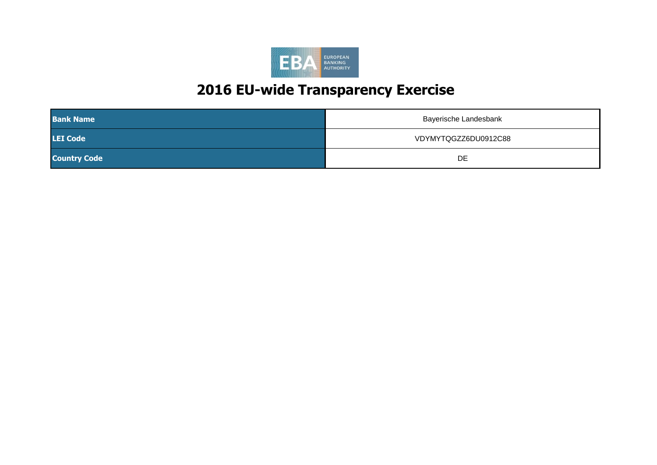

| <b>Bank Name</b>    | Bayerische Landesbank |
|---------------------|-----------------------|
| <b>LEI Code</b>     | VDYMYTQGZZ6DU0912C88  |
| <b>Country Code</b> | DE                    |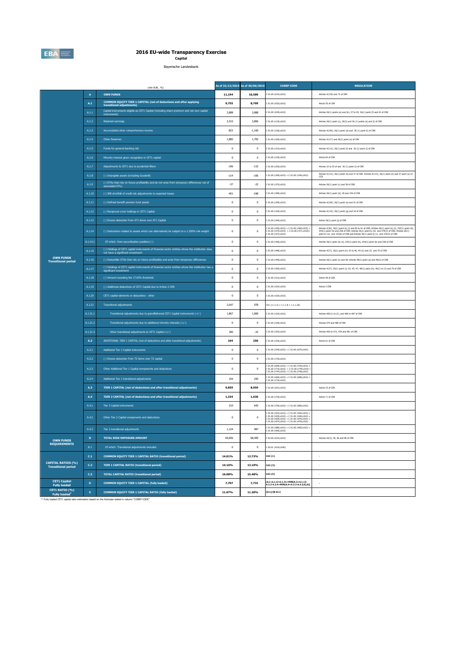

## **2016 EU-wide Transparency Exercise Capital**

Bayerische Landesbank

|                                                                                           |                 | (mln EUR, %)                                                                                                                           |              | As of 31/12/2015 As of 30/06/2016 | <b>COREP CODE</b>                                                                                                                                                                      | <b>REGULATION</b>                                                                                                                                                                                                                                                                                 |
|-------------------------------------------------------------------------------------------|-----------------|----------------------------------------------------------------------------------------------------------------------------------------|--------------|-----------------------------------|----------------------------------------------------------------------------------------------------------------------------------------------------------------------------------------|---------------------------------------------------------------------------------------------------------------------------------------------------------------------------------------------------------------------------------------------------------------------------------------------------|
|                                                                                           | $\overline{A}$  | <b>OWN FUNDS</b>                                                                                                                       | 11,194       | 10,589                            | C 01.00 (r010,c010)                                                                                                                                                                    | Articles 4(118) and 72 of CRR                                                                                                                                                                                                                                                                     |
|                                                                                           | A.1             | COMMON EQUITY TIER 1 CAPITAL (net of deductions and after applying<br>transitional adjustments)                                        | 9,755        | 8.709                             | 01.00 (r020.c010)                                                                                                                                                                      | Article 50 of CRR                                                                                                                                                                                                                                                                                 |
|                                                                                           | A.1.1           | Capital instruments eligible as CET1 Capital (including share premium and net own capital<br>instruments)                              | 3,888        | 3,888                             | 01.00 (r030,c010)                                                                                                                                                                      | Articles 26(1) points (a) and (b), 27 to 29, 36(1) point (f) and 42 of CRR                                                                                                                                                                                                                        |
|                                                                                           | A.1.2           | <b>Retained earnings</b>                                                                                                               | 3,510        | 3,806                             | C 01.00 (r130,c010)                                                                                                                                                                    | Articles 26(1) point (c), 26(2) and 36 (1) points (a) and (f) of CRR                                                                                                                                                                                                                              |
| <b>OWN FUNDS</b><br><b>Transitional period</b><br><b>OWN FUNDS</b><br><b>REQUIREMENTS</b> | A.1.3           | Accumulated other comprehensive income                                                                                                 | $-823$       | $-1.160$                          | C 01.00 (r180,c010)                                                                                                                                                                    | Articles 4(100), 26(1) point (d) and 36 (1) point (l) of CRR                                                                                                                                                                                                                                      |
|                                                                                           | A.1.4           | Other Reserves                                                                                                                         | 1,880        | 1,705                             | C 01.00 (r200,c010)                                                                                                                                                                    | Articles 4(117) and 26(1) point (e) of CRR                                                                                                                                                                                                                                                        |
|                                                                                           | A.1.5           | Funds for general banking risk                                                                                                         | $\mathbf 0$  | $\,0\,$                           | C 01.00 (r210,c010)                                                                                                                                                                    | Articles 4(112), 26(1) point (f) and 36 (1) point (l) of CRR                                                                                                                                                                                                                                      |
|                                                                                           | A.1.6           | Minority interest given recognition in CET1 capital                                                                                    | $\mathbf{0}$ | $\mathbf{0}$                      | 01.00 (r230.c010)                                                                                                                                                                      | Article 84 of CRR                                                                                                                                                                                                                                                                                 |
|                                                                                           | A.1.7           | Adjustments to CET1 due to prudential filters                                                                                          | $-196$       | $-133$                            | 01.00 (r250,c010)                                                                                                                                                                      | Articles 32 to 35 of and 36 (1) point (I) of CRR                                                                                                                                                                                                                                                  |
|                                                                                           | A.1.8           | (-) Intangible assets (including Goodwill)                                                                                             | $-114$       | $-106$                            | C 01.00 (r300,c010) + C 01.00 (r340,c010)                                                                                                                                              | Articles 4(113), 36(1) point (b) and 37 of CRR. Articles 4(115), 36(1) point (b) and 37 point (a) of<br>CCR                                                                                                                                                                                       |
|                                                                                           | A.1.9           | (-) DTAs that rely on future profitability and do not arise from temporary differences net of<br>associated DTLs                       | $-37$        | $-22$                             | C 01.00 (r370,c010)                                                                                                                                                                    | Articles 36(1) point (c) and 38 of CRR                                                                                                                                                                                                                                                            |
|                                                                                           | A.1.10          | (-) IRB shortfall of credit risk adjustments to expected losses                                                                        | $-401$       | $-248$                            | C 01.00 (r380,c010)                                                                                                                                                                    | Articles 36(1) point (d), 40 and 159 of CRR                                                                                                                                                                                                                                                       |
|                                                                                           | A.1.11          | (-) Defined benefit pension fund assets                                                                                                | $\mathbf 0$  | $\mathbf{0}$                      | C 01.00 (r390,c010)                                                                                                                                                                    | Articles 4(109), 36(1) point (e) and 41 of CRR                                                                                                                                                                                                                                                    |
|                                                                                           | A.1.12          | (-) Reciprocal cross holdings in CET1 Capital                                                                                          | $\mathbf{0}$ | $\mathbf{0}$                      | C 01.00 (r430,c010)                                                                                                                                                                    | Articles 4(122), 36(1) point (g) and 44 of CRR                                                                                                                                                                                                                                                    |
|                                                                                           | A.1.13          | (-) Excess deduction from AT1 items over AT1 Capital                                                                                   | $\,0\,$      | $\,0\,$                           | 01.00 (r440,c010)                                                                                                                                                                      | Article 36(1) point (j) of CRR                                                                                                                                                                                                                                                                    |
|                                                                                           | A.1.14          | (-) Deductions related to assets which can alternatively be subject to a 1.250% risk weight                                            | $\mathbf{0}$ | $\overline{0}$                    | $201.00 (r450, c010) + C 01.00 (r460, c010) +$<br>$201.00 (r470, c010) + C 01.00 (r471, c010) +$<br>201.00 (r472, c010)                                                                | Articles 4(36), 36(1) point (k) (i) and 89 to 91 of CRR; Articles 36(1) point (k) (i), 243(1) point (b),<br>244(1) point (b) and 258 of CRR; Articles 36(1) point k) (ii) and 379(3) of CRR; Articles 36(1)<br>point k) (iv) and 153(8) of CRR and Articles 36(1) point k) (v) and 155(4) of CRR. |
|                                                                                           | A.1.14.1        | Of which: from securitisation positions (-)                                                                                            | $\mathbf{0}$ | $\mathbf{0}$                      | 01.00 (r460,c010)                                                                                                                                                                      | Articles 36(1) point (k) (ii), 243(1) point (b), 244(1) point (b) and 258 of CRR                                                                                                                                                                                                                  |
|                                                                                           | A.1.15          | (-) Holdings of CET1 capital instruments of financial sector entities where the institiution does<br>not have a significant investment | $\mathbf 0$  | $\mathbf 0$                       | 01.00 (r480,c010)                                                                                                                                                                      | Articles 4(27), 36(1) point (h); 43 to 46, 49 (2) and (3) and 79 of CRR                                                                                                                                                                                                                           |
|                                                                                           | A.1.16          | (-) Deductible DTAs that rely on future profitability and arise from temporary differences                                             | $\mathbf 0$  | $\,0\,$                           | C 01.00 (r490,c010)                                                                                                                                                                    | Articles 36(1) point (c) and 38; Articles 48(1) point (a) and 48(2) of CRR                                                                                                                                                                                                                        |
|                                                                                           | A.1.17          | (-) Holdings of CET1 capital instruments of financial sector entities where the institiution has a<br>significant investmen            | $\mathbf{0}$ | $\mathbf{0}$                      | C 01.00 (r500,c010)                                                                                                                                                                    | Articles 4(27); 36(1) point (i); 43, 45; 47; 48(1) point (b); 49(1) to (3) and 79 of CRR                                                                                                                                                                                                          |
|                                                                                           | A.1.18          | (-) Amount exceding the 17.65% threshold                                                                                               | $\,0\,$      | $\,0\,$                           | C 01.00 (r510,c010)                                                                                                                                                                    | Article 48 of CRR                                                                                                                                                                                                                                                                                 |
|                                                                                           | A.1.19          | (-) Additional deductions of CET1 Capital due to Article 3 CRR                                                                         | $\mathbf 0$  | $\,0\,$                           | C 01.00 (r524,c010)                                                                                                                                                                    | Article 3 CRR                                                                                                                                                                                                                                                                                     |
|                                                                                           | A.1.20          | CET1 capital elements or deductions - other                                                                                            | $\mathbf 0$  | $\mathbf{0}$                      | C 01.00 (r529,c010)                                                                                                                                                                    |                                                                                                                                                                                                                                                                                                   |
|                                                                                           | A.1.21          | <b>Transitional adjustments</b>                                                                                                        | 2,047        | 978                               | $CA1$ {1.1.1.6 + 1.1.1.8 + 1.1.1.26}                                                                                                                                                   |                                                                                                                                                                                                                                                                                                   |
|                                                                                           | A.1.21.1        | Transitional adjustments due to grandfathered CET1 Capital instruments (+/-)                                                           | 1,867        | 1,000                             | 201.00 (r220, c010)                                                                                                                                                                    | Articles 483(1) to (3), and 484 to 487 of CRR                                                                                                                                                                                                                                                     |
|                                                                                           | A.1.21.2        | Transitional adjustments due to additional minority interests (+/-)                                                                    | $\bf{0}$     | $\,0\,$                           | C 01.00 (r240,c010)                                                                                                                                                                    | Articles 479 and 480 of CRR                                                                                                                                                                                                                                                                       |
|                                                                                           | A.1.21.3        | Other transitional adjustments to CET1 Capital (+/-)                                                                                   | 180          | $-22$                             | C 01.00 (r520,c010)                                                                                                                                                                    | Articles 469 to 472, 478 and 481 of CRR                                                                                                                                                                                                                                                           |
|                                                                                           | A.2             | ADDITIONAL TIER 1 CAPITAL (net of deductions and after transitional adjustments)                                                       | 104          | 250                               | C 01.00 (r530,c010)                                                                                                                                                                    | Article 61 of CRR                                                                                                                                                                                                                                                                                 |
|                                                                                           | A.2.1           | Additional Tier 1 Capital instruments                                                                                                  | $\bf{0}$     | $\mathbf 0$                       | C 01.00 (r540,c010) + C 01.00 (r670,c010)                                                                                                                                              |                                                                                                                                                                                                                                                                                                   |
|                                                                                           | A.2.2           | (-) Excess deduction from T2 items over T2 capital                                                                                     | $\mathbf{0}$ | $^{\circ}$                        | 201.00 (r720, c010)                                                                                                                                                                    |                                                                                                                                                                                                                                                                                                   |
|                                                                                           | A.2.3           | Other Additional Tier 1 Capital components and deductions                                                                              | $\mathbf 0$  | $\pmb{0}$                         | C 01.00 (r690,c010) + C 01.00 (r700,c010) +<br>C 01.00 (r710,c010) + C 01.00 (r740,c010)<br>C 01.00 (r744,c010) + C 01.00 (r748,c010)                                                  |                                                                                                                                                                                                                                                                                                   |
|                                                                                           | A.2.4           | Additional Tier 1 transitional adjustments                                                                                             | 104          | 250                               | $01.00 (r660, c010) + C 01.00 (r680, c010) +$<br>201.00 (r730, c010)                                                                                                                   |                                                                                                                                                                                                                                                                                                   |
|                                                                                           | A.3             | <b>TIER 1 CAPITAL (net of deductions and after transitional adjustments)</b>                                                           | 9,859        | 8,959                             | 01.00 (r015,c010)                                                                                                                                                                      | Article 25 of CRR                                                                                                                                                                                                                                                                                 |
|                                                                                           | A.4             | TIER 2 CAPITAL (net of deductions and after transitional adjustments)                                                                  | 1,334        | 1,630                             | C 01.00 (r750,c010)                                                                                                                                                                    | Article 71 of CRR                                                                                                                                                                                                                                                                                 |
|                                                                                           | A.4.1           | Tier 2 Capital instruments                                                                                                             | 210          | 643                               | 01.00 (r760,c010) + C 01.00 (r890,c010)<br>$C 01.00 (r910, c010) + C 01.00 (r920, c010) +$                                                                                             |                                                                                                                                                                                                                                                                                                   |
|                                                                                           | A.4.2           | Other Tier 2 Capital components and deductions                                                                                         | $^{\circ}$   | $^{\circ}$                        | C 01.00 (r930,c010) + C 01.00 (r940,c010) +<br>C 01.00 (r950,c010) + C 01.00 (r970,c010) +<br>C 01.00 (r974,c010) + C 01.00 (r978,c010) +<br>C 01.00 (r974,c010) + C 01.00 (r978,c010) |                                                                                                                                                                                                                                                                                                   |
|                                                                                           | A.4.3           | Tier 2 transitional adjustments                                                                                                        | 1,124        | 987                               | $C$ 01.00 (r880,c010) + $C$ 01.00 (r900,c010) +                                                                                                                                        |                                                                                                                                                                                                                                                                                                   |
|                                                                                           | $\, {\bf B} \,$ | <b>TOTAL RISK EXPOSURE AMOUNT</b>                                                                                                      | 69,606       | 68,400                            | 02.00 (r010.c010)                                                                                                                                                                      | Articles 92(3), 95, 96 and 98 of CRR                                                                                                                                                                                                                                                              |
|                                                                                           | $\mathsf{B}.1$  | Of which: Transitional adjustments included                                                                                            | $\mathbf 0$  | $\mathbf 0$                       | C 05.01 (r010;c040)                                                                                                                                                                    |                                                                                                                                                                                                                                                                                                   |
|                                                                                           | C.1             | <b>COMMON EQUITY TIER 1 CAPITAL RATIO (transitional period)</b>                                                                        | 14.01%       | 12.73%                            | CA3 {1}                                                                                                                                                                                |                                                                                                                                                                                                                                                                                                   |
| <b>CAPITAL RATIOS (%)</b><br><b>Transitional period</b>                                   | C.2             | <b>TIER 1 CAPITAL RATIO (transitional period)</b>                                                                                      | 14.16%       | 13.10%                            | CA3 {3}                                                                                                                                                                                |                                                                                                                                                                                                                                                                                                   |
|                                                                                           | C.3             | <b>TOTAL CAPITAL RATIO (transitional period)</b>                                                                                       | 16.08%       | 15.48%                            | CA3 (5)                                                                                                                                                                                | $\sim$                                                                                                                                                                                                                                                                                            |
| <b>CET1 Capital</b><br><b>Fully loaded</b><br>CET1 RATIO (%)                              | D               | COMMON EQUITY TIER 1 CAPITAL (fully loaded)                                                                                            | 7,707        | 7,731                             | [A.1-A.1.13-A.1.21+MIN(A.2+A.1.13-<br>A.2.2-A.2.4+MIN(A.4+A.2.2-A.4.3,0),0)]                                                                                                           | $\sim$                                                                                                                                                                                                                                                                                            |
| Fully loaded <sup>1</sup>                                                                 | E.              | COMMON EQUITY TIER 1 CAPITAL RATIO (fully loaded)                                                                                      | 11.07%       | 11.30%                            | $[D.1]/[B-B.1]$                                                                                                                                                                        | $\epsilon$                                                                                                                                                                                                                                                                                        |
|                                                                                           |                 | Fully loaded CET1 capital ratio estimation based on the formulae stated in column "COREP CODE"                                         |              |                                   |                                                                                                                                                                                        |                                                                                                                                                                                                                                                                                                   |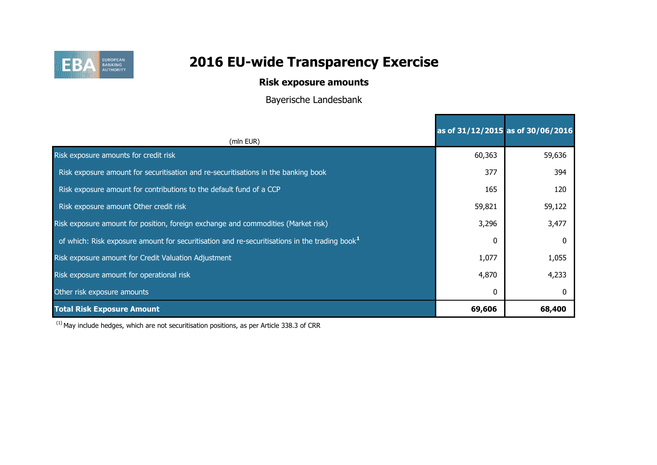

## **Risk exposure amounts**

Bayerische Landesbank

|                                                                                                           |        | as of 31/12/2015 as of 30/06/2016 |
|-----------------------------------------------------------------------------------------------------------|--------|-----------------------------------|
| (mln EUR)                                                                                                 |        |                                   |
| Risk exposure amounts for credit risk                                                                     | 60,363 | 59,636                            |
| Risk exposure amount for securitisation and re-securitisations in the banking book                        | 377    | 394                               |
| Risk exposure amount for contributions to the default fund of a CCP                                       | 165    | 120                               |
| Risk exposure amount Other credit risk                                                                    | 59,821 | 59,122                            |
| Risk exposure amount for position, foreign exchange and commodities (Market risk)                         | 3,296  | 3,477                             |
| of which: Risk exposure amount for securitisation and re-securitisations in the trading book <sup>1</sup> | 0      |                                   |
| Risk exposure amount for Credit Valuation Adjustment                                                      | 1,077  | 1,055                             |
| Risk exposure amount for operational risk                                                                 | 4,870  | 4,233                             |
| Other risk exposure amounts                                                                               | 0      |                                   |
| <b>Total Risk Exposure Amount</b>                                                                         | 69,606 | 68,400                            |

 $(1)$  May include hedges, which are not securitisation positions, as per Article 338.3 of CRR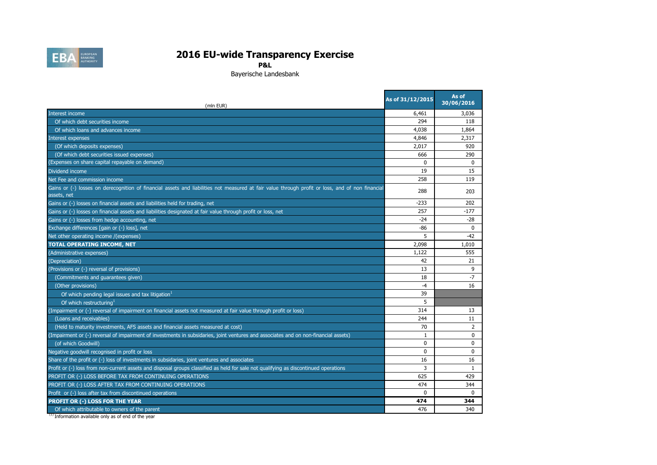

**P&L**

Bayerische Landesbank

| (mln EUR)                                                                                                                                                       | As of 31/12/2015 | As of<br>30/06/2016 |
|-----------------------------------------------------------------------------------------------------------------------------------------------------------------|------------------|---------------------|
| Interest income                                                                                                                                                 | 6,461            | 3,036               |
| Of which debt securities income                                                                                                                                 | 294              | 118                 |
| Of which loans and advances income                                                                                                                              | 4,038            | 1,864               |
| Interest expenses                                                                                                                                               | 4,846            | 2,317               |
| (Of which deposits expenses)                                                                                                                                    | 2,017            | 920                 |
| (Of which debt securities issued expenses)                                                                                                                      | 666              | 290                 |
| (Expenses on share capital repayable on demand)                                                                                                                 | $\mathbf{0}$     | $\Omega$            |
| Dividend income                                                                                                                                                 | 19               | 15                  |
| Net Fee and commission income                                                                                                                                   | 258              | 119                 |
| Gains or (-) losses on derecognition of financial assets and liabilities not measured at fair value through profit or loss, and of non financial<br>assets, net | 288              | 203                 |
| Gains or (-) losses on financial assets and liabilities held for trading, net                                                                                   | $-233$           | 202                 |
| Gains or (-) losses on financial assets and liabilities designated at fair value through profit or loss, net                                                    | 257              | $-177$              |
| Gains or (-) losses from hedge accounting, net                                                                                                                  | $-24$            | $-28$               |
| Exchange differences [gain or (-) loss], net                                                                                                                    | -86              | $\mathbf{0}$        |
| Net other operating income /(expenses)                                                                                                                          | 5                | -42                 |
| <b>TOTAL OPERATING INCOME, NET</b>                                                                                                                              | 2,098            | 1,010               |
| (Administrative expenses)                                                                                                                                       | 1,122            | 555                 |
| (Depreciation)                                                                                                                                                  | 42               | 21                  |
| (Provisions or (-) reversal of provisions)                                                                                                                      | 13               | 9                   |
| (Commitments and guarantees given)                                                                                                                              | 18               | $-7$                |
| (Other provisions)                                                                                                                                              | $-4$             | 16                  |
| Of which pending legal issues and tax litigation <sup>1</sup>                                                                                                   | 39               |                     |
| Of which restructuring                                                                                                                                          | 5                |                     |
| (Impairment or (-) reversal of impairment on financial assets not measured at fair value through profit or loss)                                                | 314              | 13                  |
| (Loans and receivables)                                                                                                                                         | 244              | 11                  |
| (Held to maturity investments, AFS assets and financial assets measured at cost)                                                                                | 70               | $\overline{2}$      |
| (Impairment or (-) reversal of impairment of investments in subsidaries, joint ventures and associates and on non-financial assets)                             | 1                | $\mathbf{0}$        |
| (of which Goodwill)                                                                                                                                             | $\mathbf 0$      | $\mathbf 0$         |
| Negative goodwill recognised in profit or loss                                                                                                                  | $\Omega$         | $\Omega$            |
| Share of the profit or (-) loss of investments in subsidaries, joint ventures and associates                                                                    | 16               | 16                  |
| Profit or (-) loss from non-current assets and disposal groups classified as held for sale not qualifying as discontinued operations                            | 3                | 1                   |
| PROFIT OR (-) LOSS BEFORE TAX FROM CONTINUING OPERATIONS                                                                                                        | 625              | 429                 |
| PROFIT OR (-) LOSS AFTER TAX FROM CONTINUING OPERATIONS                                                                                                         | 474              | 344                 |
| Profit or (-) loss after tax from discontinued operations                                                                                                       | $\mathbf{0}$     | $\Omega$            |
| PROFIT OR (-) LOSS FOR THE YEAR                                                                                                                                 | 474              | 344                 |
| Of which attributable to owners of the parent                                                                                                                   | 476              | 340                 |

<sup>(1)</sup> Information available only as of end of the year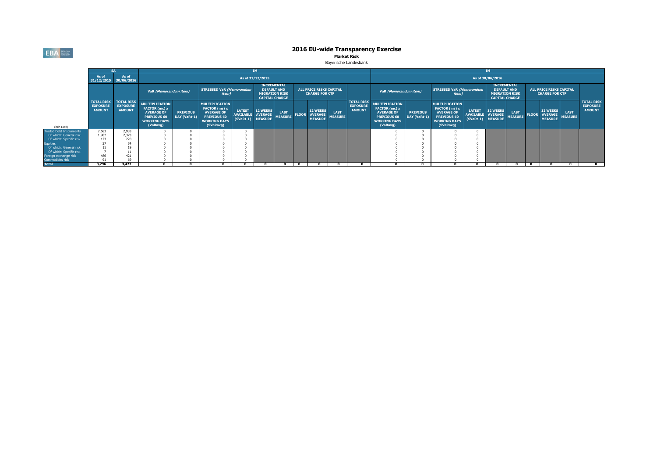**EBA** EUROPEAN

# **2016 EU-wide Transparency Exercise**<br>Market Risk

#### Bayerische Landesbank

|                                           |                                                       |                                                       |                                                                                                               |                                 |                                                                                                                       |                                   | <b>IM</b>                                                                                  |                               |              |                                                         |                        |                                                       |                                                                                                                      |                                 |                                                                                                                |                                    | <b>IM</b>                                                                                  |                               |                                                         |                               |                                                       |
|-------------------------------------------|-------------------------------------------------------|-------------------------------------------------------|---------------------------------------------------------------------------------------------------------------|---------------------------------|-----------------------------------------------------------------------------------------------------------------------|-----------------------------------|--------------------------------------------------------------------------------------------|-------------------------------|--------------|---------------------------------------------------------|------------------------|-------------------------------------------------------|----------------------------------------------------------------------------------------------------------------------|---------------------------------|----------------------------------------------------------------------------------------------------------------|------------------------------------|--------------------------------------------------------------------------------------------|-------------------------------|---------------------------------------------------------|-------------------------------|-------------------------------------------------------|
|                                           | As of                                                 | As of<br>31/12/2015 30/06/2016                        |                                                                                                               |                                 |                                                                                                                       |                                   | As of 31/12/2015                                                                           |                               |              |                                                         |                        |                                                       |                                                                                                                      |                                 |                                                                                                                |                                    | As of 30/06/2016                                                                           |                               |                                                         |                               |                                                       |
|                                           |                                                       |                                                       | VaR (Memorandum item)                                                                                         |                                 | <b>STRESSED VaR (Memorandum</b><br><i>item</i> )                                                                      |                                   | <b>INCREMENTAL</b><br><b>DEFAULT AND</b><br><b>MIGRATION RISK</b><br><b>CAPITAL CHARGE</b> |                               |              | <b>ALL PRICE RISKS CAPITAL</b><br><b>CHARGE FOR CTP</b> |                        |                                                       | VaR (Memorandum item)                                                                                                |                                 | <b>STRESSED VaR (Memorandum</b><br>item)                                                                       |                                    | <b>INCREMENTAL</b><br><b>DEFAULT AND</b><br><b>MIGRATION RISK</b><br><b>CAPITAL CHARGE</b> |                               | <b>ALL PRICE RISKS CAPITAL</b><br><b>CHARGE FOR CTP</b> |                               |                                                       |
| (mln EUR)                                 | <b>TOTAL RISK</b><br><b>EXPOSURE</b><br><b>AMOUNT</b> | <b>TOTAL RISK</b><br><b>EXPOSURE</b><br><b>AMOUNT</b> | <b>MULTIPLICATION</b><br>FACTOR (mc) x<br><b>AVERAGE OF</b><br>PREVIOUS 60<br><b>WORKING DAYS</b><br>(VaRavg) | <b>PREVIOUS</b><br>DAY (VaRt-1) | <b>MULTIPLICATION</b><br><b>FACTOR</b> (ms) x<br><b>AVERAGE OF</b><br>PREVIOUS 60<br><b>WORKING DAYS</b><br>(SVaRavg) | <b>LATEST</b><br><b>AVAILABLE</b> | <b>12 WEEKS</b><br><b>AVERAGE</b><br>(SVaRt-1) MEASURE                                     | <b>LAST</b><br><b>MEASURE</b> | <b>FLOOR</b> | <b>12 WEEKS</b><br><b>AVERAGE</b><br><b>MEASURE</b>     | LAST<br><b>MEASURE</b> | <b>TOTAL RISK</b><br><b>EXPOSURE</b><br><b>AMOUNT</b> | <b>MULTIPLICATION</b><br>FACTOR (mc) x<br><b>AVERAGE OF</b><br><b>PREVIOUS 60</b><br><b>WORKING DAYS</b><br>(VaRavg) | <b>PREVIOUS</b><br>DAY (VaRt-1) | <b>MULTIPLICATION</b><br>FACTOR (ms) x<br><b>AVERAGE OF</b><br>PREVIOUS 60<br><b>WORKING DAYS</b><br>(SVaRavg) | <b>LATEST</b><br>AVAILABLE AVERAGE | <b>12 WEEKS</b><br>(SVaRt-1) MEASURE                                                       | <b>LAST</b><br><b>MEASURE</b> | 12 WEEKS<br><b>FLOOR AVERAGE</b><br><b>MEASURE</b>      | <b>LAST</b><br><b>MEASURE</b> | <b>TOTAL RISK</b><br><b>EXPOSURE</b><br><b>AMOUNT</b> |
| <b>Traded Debt Instruments</b>            | 2,683                                                 | 2,933                                                 |                                                                                                               |                                 |                                                                                                                       |                                   |                                                                                            |                               |              |                                                         |                        |                                                       |                                                                                                                      |                                 |                                                                                                                |                                    |                                                                                            |                               |                                                         |                               |                                                       |
| Of which: General risk                    | 1,982                                                 | 2.373                                                 |                                                                                                               |                                 |                                                                                                                       |                                   |                                                                                            |                               |              |                                                         |                        |                                                       |                                                                                                                      |                                 |                                                                                                                |                                    |                                                                                            |                               |                                                         |                               |                                                       |
| Of which: Specific risk                   | 123                                                   | 220                                                   |                                                                                                               |                                 |                                                                                                                       |                                   |                                                                                            |                               |              |                                                         |                        |                                                       |                                                                                                                      |                                 |                                                                                                                |                                    |                                                                                            |                               |                                                         |                               |                                                       |
| <b>Equities</b>                           |                                                       |                                                       |                                                                                                               |                                 |                                                                                                                       |                                   |                                                                                            |                               |              |                                                         |                        |                                                       |                                                                                                                      |                                 |                                                                                                                |                                    |                                                                                            |                               |                                                         |                               |                                                       |
| Of which: General risk                    |                                                       |                                                       |                                                                                                               |                                 |                                                                                                                       |                                   |                                                                                            |                               |              |                                                         |                        |                                                       |                                                                                                                      |                                 |                                                                                                                |                                    |                                                                                            |                               |                                                         |                               |                                                       |
| Of which: Specific risk                   |                                                       |                                                       |                                                                                                               |                                 |                                                                                                                       |                                   |                                                                                            |                               |              |                                                         |                        |                                                       |                                                                                                                      |                                 |                                                                                                                |                                    |                                                                                            |                               |                                                         |                               |                                                       |
| Foreign exchange risk<br>Commodities risk | 486                                                   | 421<br>69                                             |                                                                                                               |                                 |                                                                                                                       |                                   |                                                                                            |                               |              |                                                         |                        |                                                       |                                                                                                                      |                                 |                                                                                                                |                                    |                                                                                            |                               |                                                         |                               |                                                       |
| <b>Total</b>                              | 3,296                                                 | 3.477                                                 |                                                                                                               |                                 |                                                                                                                       |                                   |                                                                                            |                               |              |                                                         |                        |                                                       |                                                                                                                      |                                 |                                                                                                                |                                    |                                                                                            |                               |                                                         |                               |                                                       |
|                                           |                                                       |                                                       |                                                                                                               |                                 |                                                                                                                       |                                   |                                                                                            |                               |              |                                                         |                        |                                                       |                                                                                                                      |                                 |                                                                                                                |                                    |                                                                                            |                               |                                                         |                               |                                                       |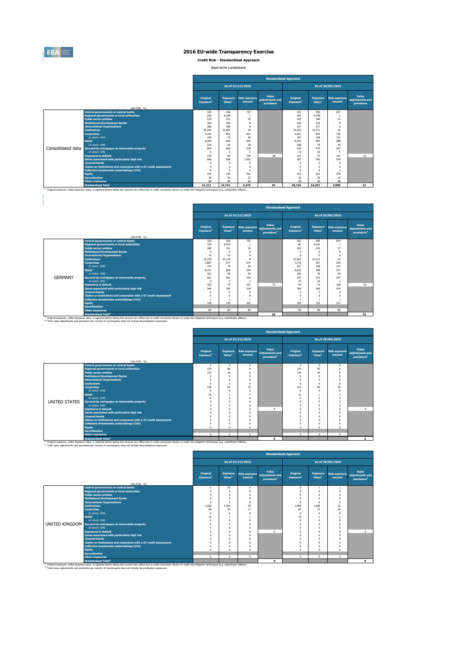

**Credit Risk - Standardised Approach**

Bayerische Landesbank

|                   |                                                                   | <b>Standardised Approach</b>      |                                       |                                |                                        |                                   |                                       |                                |                                        |  |  |  |
|-------------------|-------------------------------------------------------------------|-----------------------------------|---------------------------------------|--------------------------------|----------------------------------------|-----------------------------------|---------------------------------------|--------------------------------|----------------------------------------|--|--|--|
|                   |                                                                   |                                   |                                       | As of 31/12/2015               |                                        |                                   |                                       | As of 30/06/2016               |                                        |  |  |  |
|                   | (mln EUR, %)                                                      | Original<br>Exposure <sup>1</sup> | <b>Exposure</b><br>Value <sup>1</sup> | <b>Risk exposure</b><br>amount | Value<br>adiustments and<br>provisions | Original<br>Exposure <sup>1</sup> | <b>Exposure</b><br>Value <sup>1</sup> | <b>Risk exposure</b><br>amount | Value<br>adjustments and<br>provisions |  |  |  |
|                   | <b>Central governments or central banks</b>                       | 320                               | 446                                   | 757                            |                                        | 352                               | 456                                   | 837                            |                                        |  |  |  |
|                   | <b>Regional governments or local authorities</b>                  | 246                               | 6.398                                 | J.                             |                                        | 201                               | 6.248                                 |                                |                                        |  |  |  |
|                   | <b>Public sector entities</b>                                     | 539                               | 251                                   | 35                             |                                        | 422                               | 184                                   | 23                             |                                        |  |  |  |
|                   | <b>Multilateral Development Banks</b>                             | 206                               | 206                                   | 0                              |                                        | 218                               | 218                                   | $\Omega$                       |                                        |  |  |  |
|                   | <b>International Organisations</b>                                | 286                               | 286                                   | $\Omega$                       |                                        | 317                               | 317                                   | $\Omega$                       |                                        |  |  |  |
|                   | <b>Institutions</b>                                               | 25.265                            | 23.685                                | 39                             |                                        | 25.522                            | 23.711                                | 56                             |                                        |  |  |  |
|                   | <b>Corporates</b>                                                 | 4.192                             | 854                                   | 821                            |                                        | 4.021                             | 829                                   | 796                            |                                        |  |  |  |
|                   | of which: SMF                                                     | 195                               | 70                                    | 69                             |                                        | 257                               | 148                                   | 147                            |                                        |  |  |  |
|                   | <b>Retail</b>                                                     | 8,309                             | 824                                   | 605                            |                                        | 8.191                             | 803                                   | 588                            |                                        |  |  |  |
|                   | of which: SMF                                                     | 224                               | 69                                    | 39                             |                                        | 258                               | 79                                    | 45                             |                                        |  |  |  |
| Consolidated data | Secured by mortgages on immovable property                        | 664                               | 664                                   | 236                            |                                        | 579                               | 579                                   | 207                            |                                        |  |  |  |
|                   | of which: SMF                                                     | 5                                 |                                       | $\overline{2}$                 |                                        | 10                                | 10                                    | 5                              |                                        |  |  |  |
|                   | <b>Exposures in default</b>                                       | 135                               | 80                                    | 109                            | 28                                     | 115                               | 75                                    | 101                            | 19                                     |  |  |  |
|                   | Items associated with particularly high risk                      | 668                               | 668                                   | 1.001                          |                                        | 393                               | 393                                   | 590                            |                                        |  |  |  |
|                   | <b>Covered bonds</b>                                              | $\Omega$                          | n                                     | n                              |                                        | $\Omega$                          | $\Omega$                              | $\Omega$                       |                                        |  |  |  |
|                   | Claims on institutions and corporates with a ST credit assessment | $\Omega$                          | n                                     | 0                              |                                        | $\Omega$                          | $\Omega$                              | $\Omega$                       |                                        |  |  |  |
|                   | <b>Collective investments undertakings (CIU)</b>                  | $\mathbf{R}$                      | 8                                     | 4                              |                                        | 8                                 | 8                                     | 5                              |                                        |  |  |  |
|                   | <b>Equity</b>                                                     | 244                               | 244                                   | 561                            |                                        | 251                               | 251                                   | 576                            |                                        |  |  |  |
|                   | <b>Securitisation</b>                                             | 45                                | 45                                    | 23                             |                                        | 39                                | 39                                    | 19                             |                                        |  |  |  |
|                   | <b>Other exposures</b>                                            | 84                                | 84                                    | 84                             |                                        | 90                                | 90                                    | 88                             |                                        |  |  |  |
|                   | <b>Standardised Total</b>                                         | 41.211                            | 34,742                                | 4,275                          | 36                                     | 40,720                            | 34,202                                | 3,889                          | 22                                     |  |  |  |

|                |                                                                                                                                                                                                                                             |                                          |                                       |                  | <b>Standardised Approach</b>                                      |                                          |                                       |                                |                                                     |
|----------------|---------------------------------------------------------------------------------------------------------------------------------------------------------------------------------------------------------------------------------------------|------------------------------------------|---------------------------------------|------------------|-------------------------------------------------------------------|------------------------------------------|---------------------------------------|--------------------------------|-----------------------------------------------------|
|                |                                                                                                                                                                                                                                             |                                          |                                       | As of 31/12/2015 |                                                                   |                                          |                                       | As of 30/06/2016               |                                                     |
|                | (mln EUR, %)                                                                                                                                                                                                                                | <b>Original</b><br>Exposure <sup>1</sup> | <b>Exposure</b><br>Value <sup>1</sup> | amount           | Value<br>Risk exposure adjustments and<br>provisions <sup>2</sup> | <b>Original</b><br>Exposure <sup>1</sup> | <b>Exposure</b><br>Value <sup>1</sup> | <b>Risk exposure</b><br>amount | Value<br>adjustments and<br>provisions <sup>2</sup> |
|                | <b>Central governments or central banks</b>                                                                                                                                                                                                 | 320                                      | 418                                   | 755              |                                                                   | 352                                      | 450                                   | 834                            |                                                     |
|                | <b>Regional governments or local authorities</b>                                                                                                                                                                                            | 126                                      | 6.310                                 |                  |                                                                   | 87                                       | 6.165                                 |                                |                                                     |
|                | <b>Public sector entities</b>                                                                                                                                                                                                               | 360                                      | 221                                   | 29               |                                                                   | 243                                      | 155                                   | 17                             |                                                     |
|                | <b>Multilateral Development Banks</b>                                                                                                                                                                                                       | $\mathsf{Q}$                             | ç                                     | $\Omega$         |                                                                   | $\Omega$                                 | 0                                     | $\Omega$                       |                                                     |
|                | <b>International Organisations</b>                                                                                                                                                                                                          | 10                                       | 10                                    |                  |                                                                   | $\Omega$                                 | n                                     | $\Omega$                       |                                                     |
|                | <b>Institutions</b>                                                                                                                                                                                                                         | 23,759                                   | 22.178                                | 8                |                                                                   | 23,922                                   | 22.112                                | 24                             |                                                     |
|                | <b>Corporates</b>                                                                                                                                                                                                                           | 3,887                                    | 677                                   | 674              |                                                                   | 3.735                                    | 637                                   | 635                            |                                                     |
|                | of which: SMF                                                                                                                                                                                                                               | 195                                      | $\overline{20}$                       | 69               |                                                                   | 257                                      | 148                                   | 147                            |                                                     |
|                | Retail                                                                                                                                                                                                                                      | 8.151                                    | 808                                   | 594              |                                                                   | 8.036                                    | 788                                   | 577                            |                                                     |
|                | of which: SME                                                                                                                                                                                                                               | 222                                      | 68                                    | 39               |                                                                   | 256                                      | 78                                    | 45                             |                                                     |
| <b>GERMANY</b> | Secured by mortgages on immovable property                                                                                                                                                                                                  | 661                                      | 661                                   | 234              |                                                                   | 579                                      | 579                                   | 207                            |                                                     |
|                | of which: SMF                                                                                                                                                                                                                               | 5                                        | 5                                     | $\overline{2}$   |                                                                   | 10                                       | 10                                    | <b>S</b>                       |                                                     |
|                | <b>Exposures in default</b>                                                                                                                                                                                                                 | 103                                      | 79                                    | 107              | 23                                                                | 93                                       | 74                                    | 100                            | 18                                                  |
|                | Items associated with particularly high risk                                                                                                                                                                                                | 369                                      | 369                                   | 554              |                                                                   | 369                                      | 369                                   | 554                            |                                                     |
|                | <b>Covered bonds</b>                                                                                                                                                                                                                        | $\Omega$                                 | 0                                     | $\Omega$         |                                                                   | $\Omega$                                 | $\Omega$                              | $\Omega$                       |                                                     |
|                | Claims on institutions and corporates with a ST credit assessment                                                                                                                                                                           | $\Omega$                                 | n                                     | $\Omega$         |                                                                   | $\Omega$                                 | $\mathbf{0}$                          |                                |                                                     |
|                | <b>Collective investments undertakings (CIU)</b>                                                                                                                                                                                            |                                          |                                       |                  |                                                                   |                                          |                                       |                                |                                                     |
|                | <b>Equity</b>                                                                                                                                                                                                                               | 149                                      | 149                                   | 325              |                                                                   | 155                                      | 155                                   | 337                            |                                                     |
|                | <b>Securitisation</b>                                                                                                                                                                                                                       |                                          |                                       |                  |                                                                   |                                          |                                       |                                |                                                     |
|                | <b>Other exposures</b>                                                                                                                                                                                                                      | 84                                       | 84                                    | 84               |                                                                   | 90                                       | 90                                    | 88                             |                                                     |
|                | <b>Standardised Total<sup>2</sup></b><br>(1) Original exposure, unlike Exposure value, is reported before taking into account any effect due to credit conversion factors or credit risk mitigation techniques (e.g. substitution effects). |                                          |                                       |                  | 26                                                                |                                          |                                       |                                | 79                                                  |

|               |                                                                                                                                                                                                                                             | <b>Standardised Approach</b>      |                                       |                                |                                                     |                                   |                                       |                                |                                                     |  |  |  |
|---------------|---------------------------------------------------------------------------------------------------------------------------------------------------------------------------------------------------------------------------------------------|-----------------------------------|---------------------------------------|--------------------------------|-----------------------------------------------------|-----------------------------------|---------------------------------------|--------------------------------|-----------------------------------------------------|--|--|--|
|               |                                                                                                                                                                                                                                             |                                   |                                       | As of 31/12/2015               |                                                     |                                   |                                       | As of 30/06/2016               |                                                     |  |  |  |
|               | (mln EUR, %)                                                                                                                                                                                                                                | Original<br>Exposure <sup>1</sup> | <b>Exposure</b><br>Value <sup>1</sup> | <b>Risk exposure</b><br>amount | Value<br>adiustments and<br>provisions <sup>2</sup> | Original<br>Exposure <sup>1</sup> | <b>Exposure</b><br>Value <sup>1</sup> | <b>Risk exposure</b><br>amount | Value<br>adjustments and<br>provisions <sup>2</sup> |  |  |  |
|               | <b>Central governments or central banks</b>                                                                                                                                                                                                 | $\mathbf{0}$                      | $\Omega$                              | 0                              |                                                     | $\Omega$                          | $\overline{0}$                        | $\mathbf{0}$                   |                                                     |  |  |  |
|               | <b>Regional governments or local authorities</b>                                                                                                                                                                                            | 120                               | 88                                    | O                              |                                                     | 114                               | 83                                    | $\Omega$                       |                                                     |  |  |  |
|               | <b>Public sector entities</b>                                                                                                                                                                                                               | 179                               | 30                                    | 6                              |                                                     | 179                               | 30                                    |                                |                                                     |  |  |  |
|               | <b>Multilateral Development Banks</b>                                                                                                                                                                                                       | O                                 | $\Omega$                              |                                |                                                     |                                   | $\Omega$                              |                                |                                                     |  |  |  |
|               | <b>International Organisations</b>                                                                                                                                                                                                          |                                   |                                       |                                |                                                     |                                   | n                                     |                                |                                                     |  |  |  |
|               | <b>Institutions</b>                                                                                                                                                                                                                         | C                                 |                                       |                                |                                                     |                                   | $\Omega$                              |                                |                                                     |  |  |  |
|               | <b>Corporates</b>                                                                                                                                                                                                                           | 130                               | 65                                    | 53                             |                                                     | 121                               | 60                                    | 50                             |                                                     |  |  |  |
|               | of which: SMF                                                                                                                                                                                                                               | $\Omega$                          |                                       |                                |                                                     |                                   |                                       | $\Omega$                       |                                                     |  |  |  |
|               | <b>Retail</b>                                                                                                                                                                                                                               | 16                                |                                       |                                |                                                     | 16                                |                                       |                                |                                                     |  |  |  |
|               | of which: SME                                                                                                                                                                                                                               |                                   | $\Omega$                              |                                |                                                     |                                   | $\theta$                              |                                |                                                     |  |  |  |
| UNITED STATES | Secured by mortgages on immovable property                                                                                                                                                                                                  |                                   |                                       |                                |                                                     |                                   |                                       |                                |                                                     |  |  |  |
|               | of which: SMF                                                                                                                                                                                                                               |                                   |                                       |                                |                                                     |                                   | o                                     | $\Omega$                       |                                                     |  |  |  |
|               | <b>Exposures in default</b>                                                                                                                                                                                                                 |                                   |                                       | n                              | $\Omega$                                            |                                   |                                       | O                              | $\Omega$                                            |  |  |  |
|               | Items associated with particularly high risk                                                                                                                                                                                                |                                   |                                       |                                |                                                     |                                   |                                       |                                |                                                     |  |  |  |
|               | <b>Covered bonds</b>                                                                                                                                                                                                                        |                                   |                                       |                                |                                                     |                                   |                                       |                                |                                                     |  |  |  |
|               | Claims on institutions and corporates with a ST credit assessment                                                                                                                                                                           |                                   |                                       |                                |                                                     |                                   | n                                     | $\Omega$                       |                                                     |  |  |  |
|               | <b>Collective investments undertakings (CIU)</b>                                                                                                                                                                                            |                                   |                                       |                                |                                                     |                                   |                                       |                                |                                                     |  |  |  |
|               | <b>Equity</b>                                                                                                                                                                                                                               |                                   | $\Omega$                              | $\Omega$                       |                                                     |                                   |                                       | O                              |                                                     |  |  |  |
|               | <b>Securitisation</b>                                                                                                                                                                                                                       |                                   |                                       |                                |                                                     |                                   |                                       |                                |                                                     |  |  |  |
|               | <b>Other exposures</b>                                                                                                                                                                                                                      | $\Omega$                          | $\Omega$                              | 0                              |                                                     | $\Omega$                          | $\theta$                              | $\mathbf{0}$                   |                                                     |  |  |  |
|               | <b>Standardised Total<sup>2</sup></b><br>(1) Original exposure, unlike Exposure value, is reported before taking into account any effect due to credit conversion factors or credit risk mitigation techniques (e.g. substitution effects). |                                   |                                       |                                | $\Omega$                                            |                                   |                                       |                                | $\Omega$                                            |  |  |  |

 $\mathcal{L}_{\text{max}}$  and  $\mathcal{L}_{\text{max}}$ 

|                                                                   |                      |                                       |                                |                                                     | <b>Standardised Approach</b>      | As of 30/06/2016<br><b>Exposure</b><br><b>Risk exposure</b><br>Value <sup>1</sup><br>amount |              |                                                     |  |  |  |  |  |  |
|-------------------------------------------------------------------|----------------------|---------------------------------------|--------------------------------|-----------------------------------------------------|-----------------------------------|---------------------------------------------------------------------------------------------|--------------|-----------------------------------------------------|--|--|--|--|--|--|
|                                                                   |                      |                                       | As of 31/12/2015               |                                                     |                                   |                                                                                             |              |                                                     |  |  |  |  |  |  |
| (mln EUR, %)                                                      | Original<br>Exposure | <b>Exposure</b><br>Value <sup>1</sup> | <b>Risk exposure</b><br>amount | Value<br>adjustments and<br>provisions <sup>2</sup> | Original<br>Exposure <sup>1</sup> |                                                                                             |              | Value<br>adjustments and<br>provisions <sup>2</sup> |  |  |  |  |  |  |
| <b>Central governments or central banks</b>                       | $\Omega$             | 23                                    | $\Omega$                       |                                                     | $\Omega$                          |                                                                                             | $\mathbf{1}$ |                                                     |  |  |  |  |  |  |
| <b>Regional governments or local authorities</b>                  | $\Omega$             | $\mathbf{0}$                          | $\Omega$                       |                                                     | $\Omega$                          |                                                                                             | $\Omega$     |                                                     |  |  |  |  |  |  |
| <b>Public sector entities</b>                                     | $\Omega$             | $\Omega$                              | $\Omega$                       |                                                     | $\Omega$                          | $\Omega$                                                                                    | $\Omega$     |                                                     |  |  |  |  |  |  |
| <b>Multilateral Development Banks</b>                             | $\Omega$             | $\Omega$                              | $\Omega$                       |                                                     |                                   |                                                                                             | $\Omega$     |                                                     |  |  |  |  |  |  |
| <b>International Organisations</b>                                | $\Omega$             | O                                     | $\Omega$                       |                                                     | $\Omega$                          |                                                                                             | $\Omega$     |                                                     |  |  |  |  |  |  |
| <b>Institutions</b>                                               | 1.506                | 1.506                                 | 30                             |                                                     | 1,598                             | 1.598                                                                                       | 32           |                                                     |  |  |  |  |  |  |
| <b>Corporates</b>                                                 | 48                   | 33                                    | 17                             |                                                     | 84                                | 72                                                                                          | 54           |                                                     |  |  |  |  |  |  |
| of which: SME                                                     | $\Omega$             | O                                     | $\Omega$                       |                                                     | $\Omega$                          |                                                                                             |              |                                                     |  |  |  |  |  |  |
| <b>Retail</b>                                                     | 10                   |                                       |                                |                                                     | 10                                |                                                                                             |              |                                                     |  |  |  |  |  |  |
| of which: SMF                                                     | $\Omega$             | $\Omega$                              | $\Omega$                       |                                                     | $\Omega$                          | $\Omega$                                                                                    |              |                                                     |  |  |  |  |  |  |
| UNITED KINGDOM Secured by mortgages on immovable property         | $\Omega$             | $\theta$                              | $\Omega$                       |                                                     |                                   |                                                                                             |              |                                                     |  |  |  |  |  |  |
| of which: SMF                                                     | $\sqrt{2}$           | $\Omega$                              | $\Omega$                       |                                                     |                                   | $\Omega$                                                                                    |              |                                                     |  |  |  |  |  |  |
| <b>Exposures in default</b>                                       | $\Omega$             | $\Omega$                              | $\Omega$                       | $\Omega$                                            |                                   |                                                                                             |              | $\circ$                                             |  |  |  |  |  |  |
| Items associated with particularly high risk                      | $\Omega$             | n                                     | $\Omega$                       |                                                     |                                   |                                                                                             |              |                                                     |  |  |  |  |  |  |
| <b>Covered bonds</b>                                              | $\Omega$             | $\Omega$                              | $\Omega$                       |                                                     |                                   | $\Omega$                                                                                    | $\Omega$     |                                                     |  |  |  |  |  |  |
| Claims on institutions and corporates with a ST credit assessment | $\sqrt{2}$           | n                                     | $\Omega$                       |                                                     |                                   |                                                                                             |              |                                                     |  |  |  |  |  |  |
| Collective investments undertakings (CIU)                         | $\Omega$             | 0                                     |                                |                                                     |                                   |                                                                                             |              |                                                     |  |  |  |  |  |  |
| <b>Equity</b>                                                     | $\sqrt{2}$           | $\Omega$                              | $\Omega$                       |                                                     | $\Omega$                          | $\Omega$                                                                                    | $\Omega$     |                                                     |  |  |  |  |  |  |
| <b>Securitisation</b>                                             |                      |                                       |                                |                                                     |                                   |                                                                                             |              |                                                     |  |  |  |  |  |  |
| <b>Other exposures</b>                                            | $\mathbf 0$          | $\Omega$                              | $\Omega$                       |                                                     | $\Omega$                          | $\Omega$                                                                                    | $\Omega$     |                                                     |  |  |  |  |  |  |
| <b>Standardised Total<sup>2</sup></b>                             |                      |                                       |                                | $\Omega$                                            |                                   |                                                                                             |              | $\Omega$                                            |  |  |  |  |  |  |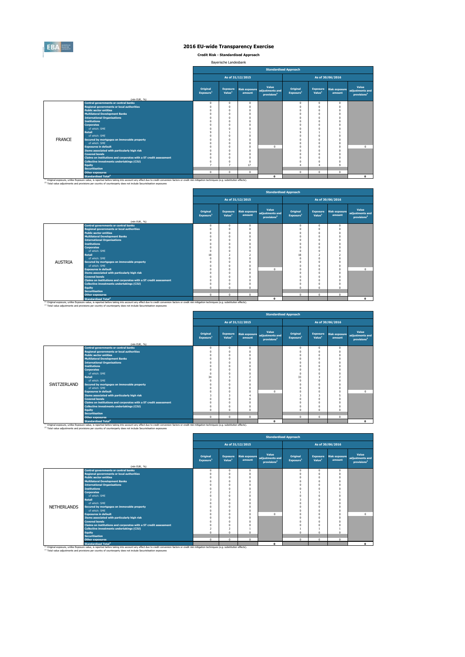

**Credit Risk - Standardised Approach**

Bayerische Landesbank

|               |                                                                                                                                                                                                                                                                                                                         |                                   |                                       |                  | <b>Standardised Approach</b>                                      |                                   |                                       |                                |                                                     |
|---------------|-------------------------------------------------------------------------------------------------------------------------------------------------------------------------------------------------------------------------------------------------------------------------------------------------------------------------|-----------------------------------|---------------------------------------|------------------|-------------------------------------------------------------------|-----------------------------------|---------------------------------------|--------------------------------|-----------------------------------------------------|
|               |                                                                                                                                                                                                                                                                                                                         |                                   |                                       | As of 31/12/2015 |                                                                   |                                   |                                       | As of 30/06/2016               |                                                     |
|               | (mln EUR, %)                                                                                                                                                                                                                                                                                                            | Original<br>Exposure <sup>1</sup> | <b>Exposure</b><br>Value <sup>1</sup> | amount           | Value<br>Risk exposure adjustments and<br>provisions <sup>2</sup> | Original<br>Exposure <sup>1</sup> | <b>Exposure</b><br>Value <sup>1</sup> | <b>Risk exposure</b><br>amount | Value<br>adjustments and<br>provisions <sup>2</sup> |
|               | <b>Central governments or central banks</b>                                                                                                                                                                                                                                                                             | $\Omega$                          | $\Omega$                              | $\Omega$         |                                                                   |                                   | $\Omega$                              | $\Omega$                       |                                                     |
|               | <b>Regional governments or local authorities</b>                                                                                                                                                                                                                                                                        | $\Omega$                          | $\Omega$                              | $\Omega$         |                                                                   | $\Omega$<br>$\Omega$              | $\Omega$                              | $\Omega$                       |                                                     |
|               | <b>Public sector entities</b>                                                                                                                                                                                                                                                                                           | n                                 | $\theta$                              | n                |                                                                   | $\Omega$                          | $\Omega$                              | $\Omega$                       |                                                     |
|               | <b>Multilateral Development Banks</b>                                                                                                                                                                                                                                                                                   |                                   | $\Omega$                              | n                |                                                                   | $\Omega$                          | $\Omega$                              | $\Omega$                       |                                                     |
|               | <b>International Organisations</b>                                                                                                                                                                                                                                                                                      |                                   | $\Omega$                              | n                |                                                                   | $\Omega$                          | $\Omega$                              | $\Omega$                       |                                                     |
|               | <b>Institutions</b>                                                                                                                                                                                                                                                                                                     |                                   | $\Omega$                              |                  |                                                                   |                                   | $\Omega$                              | $\Omega$                       |                                                     |
|               | <b>Corporates</b>                                                                                                                                                                                                                                                                                                       |                                   | $\Omega$                              | n                |                                                                   | $\Omega$                          | $\Omega$                              | $\Omega$                       |                                                     |
|               | of which: SMF                                                                                                                                                                                                                                                                                                           |                                   | $\Omega$                              |                  |                                                                   | $\Omega$                          | $\Omega$                              | $\Omega$                       |                                                     |
|               | <b>Retail</b>                                                                                                                                                                                                                                                                                                           | ٥                                 |                                       |                  |                                                                   | q                                 |                                       |                                |                                                     |
|               | of which: SMF                                                                                                                                                                                                                                                                                                           |                                   | $\Omega$                              | n                |                                                                   |                                   | $\Omega$                              | $\Omega$                       |                                                     |
| <b>FRANCE</b> | Secured by mortgages on immovable property                                                                                                                                                                                                                                                                              |                                   | $\Omega$                              |                  |                                                                   |                                   | $\Omega$                              | $\Omega$                       |                                                     |
|               | of which: SMF                                                                                                                                                                                                                                                                                                           |                                   | $\Omega$                              | $\Omega$         |                                                                   | $\Omega$                          | $\Omega$                              | $\Omega$                       |                                                     |
|               | <b>Exposures in default</b>                                                                                                                                                                                                                                                                                             |                                   | O                                     | n                | $\Omega$                                                          | $\Omega$                          | $\Omega$                              | $\Omega$                       | $\Omega$                                            |
|               | Items associated with particularly high risk                                                                                                                                                                                                                                                                            |                                   | $\Omega$                              | $\Omega$         |                                                                   | $\Omega$                          | $\Omega$                              | $\Omega$                       |                                                     |
|               | <b>Covered bonds</b>                                                                                                                                                                                                                                                                                                    |                                   | $\Omega$                              | n                |                                                                   | $\Omega$                          | $\Omega$                              | $\Omega$                       |                                                     |
|               | Claims on institutions and corporates with a ST credit assessment                                                                                                                                                                                                                                                       | O                                 | $\Omega$                              | $\Omega$         |                                                                   | $\Omega$                          | $\Omega$                              | $\Omega$                       |                                                     |
|               | Collective investments undertakings (CIU)                                                                                                                                                                                                                                                                               | $\Omega$                          | $\Omega$                              | n                |                                                                   | $\Omega$                          | $\Omega$                              | $\Omega$                       |                                                     |
|               | <b>Equity</b>                                                                                                                                                                                                                                                                                                           |                                   | $\overline{ }$                        | 17               |                                                                   | 4                                 |                                       | $\Omega$                       |                                                     |
|               | <b>Securitisation</b>                                                                                                                                                                                                                                                                                                   |                                   |                                       |                  |                                                                   |                                   |                                       |                                |                                                     |
|               | <b>Other exposures</b>                                                                                                                                                                                                                                                                                                  | $\circ$                           | $^{\circ}$                            | $\Omega$         |                                                                   | $\mathbf 0$                       | $\Omega$                              | $\mathbf{0}$                   |                                                     |
|               | Standardised Total <sup>2</sup>                                                                                                                                                                                                                                                                                         |                                   |                                       |                  | $\Omega$                                                          |                                   |                                       |                                | $\Omega$                                            |
|               | (1) Original exposure, unlike Exposure value, is reported before taking into account any effect due to credit conversion factors or credit risk mitigation techniques (e.g. substitution effects).<br>(2) Total value adjustments and provisions per country of counterparty does not include Securistisation exposures |                                   |                                       |                  |                                                                   |                                   |                                       |                                |                                                     |

|                |                                                                                                                                                                                                                                                        |                                   |                                       |                         |                                                     | <b>Standardised Approach</b>      |                                       |                                |                                                     |
|----------------|--------------------------------------------------------------------------------------------------------------------------------------------------------------------------------------------------------------------------------------------------------|-----------------------------------|---------------------------------------|-------------------------|-----------------------------------------------------|-----------------------------------|---------------------------------------|--------------------------------|-----------------------------------------------------|
|                |                                                                                                                                                                                                                                                        |                                   |                                       | As of 31/12/2015        |                                                     |                                   |                                       | As of 30/06/2016               |                                                     |
|                | (mln EUR, %)                                                                                                                                                                                                                                           | Original<br>Exposure <sup>1</sup> | <b>Exposure</b><br>Value <sup>1</sup> | Risk exposure<br>amount | Value<br>adjustments and<br>provisions <sup>2</sup> | Original<br>Exposure <sup>1</sup> | <b>Exposure</b><br>Value <sup>1</sup> | <b>Risk exposure</b><br>amount | Value<br>adjustments and<br>provisions <sup>2</sup> |
|                | <b>Central governments or central banks</b>                                                                                                                                                                                                            | $^{\circ}$                        | $^{\circ}$                            | n                       |                                                     | $^{\circ}$                        | $\Omega$                              | $\mathbf{0}$                   |                                                     |
|                | <b>Regional governments or local authorities</b>                                                                                                                                                                                                       | $\Omega$                          | $\Omega$                              |                         |                                                     | $\Omega$                          |                                       | $\Omega$                       |                                                     |
|                | <b>Public sector entities</b>                                                                                                                                                                                                                          | $\Omega$                          | $\Omega$                              |                         |                                                     | $\Omega$                          |                                       | $\Omega$                       |                                                     |
|                | <b>Multilateral Development Banks</b>                                                                                                                                                                                                                  | $\Omega$                          | $\Omega$                              |                         |                                                     |                                   |                                       |                                |                                                     |
|                | <b>International Organisations</b>                                                                                                                                                                                                                     | $\Omega$                          | $\Omega$                              |                         |                                                     | n                                 |                                       |                                |                                                     |
|                | <b>Institutions</b>                                                                                                                                                                                                                                    |                                   | $\Omega$                              |                         |                                                     |                                   |                                       |                                |                                                     |
|                | <b>Corporates</b>                                                                                                                                                                                                                                      | $\Omega$                          | $\Omega$                              |                         |                                                     |                                   |                                       |                                |                                                     |
|                | of which: SME                                                                                                                                                                                                                                          | $\Omega$                          | $\Omega$                              |                         |                                                     | $\Omega$                          |                                       |                                |                                                     |
|                | <b>Retail</b>                                                                                                                                                                                                                                          | 18                                | $\overline{\phantom{a}}$              |                         |                                                     | 18                                | 2                                     |                                |                                                     |
|                | of which: SMF                                                                                                                                                                                                                                          | $\Omega$                          | $\Omega$                              |                         |                                                     | $\Omega$                          |                                       |                                |                                                     |
| <b>AUSTRIA</b> | Secured by mortgages on immovable property                                                                                                                                                                                                             | $\Omega$                          | $\Omega$                              |                         |                                                     |                                   | n                                     |                                |                                                     |
|                | of which: SME                                                                                                                                                                                                                                          | $\Omega$                          | $\Omega$                              |                         |                                                     |                                   |                                       | $\Omega$                       |                                                     |
|                | <b>Exposures in default</b>                                                                                                                                                                                                                            | $\Omega$                          | $\Omega$                              |                         | $\sqrt{2}$                                          | O                                 |                                       | $\Omega$                       | $\Omega$                                            |
|                | Items associated with particularly high risk                                                                                                                                                                                                           | $\Omega$                          | $\Omega$                              |                         |                                                     | $\Omega$                          |                                       |                                |                                                     |
|                | <b>Covered bonds</b>                                                                                                                                                                                                                                   | $\Omega$                          | $\Omega$                              |                         |                                                     |                                   |                                       |                                |                                                     |
|                | Claims on institutions and corporates with a ST credit assessment                                                                                                                                                                                      | $\Omega$                          | $\Omega$                              |                         |                                                     | n                                 | n                                     |                                |                                                     |
|                | Collective investments undertakings (CIU)                                                                                                                                                                                                              | $\Omega$                          | $\Omega$                              |                         |                                                     |                                   |                                       |                                |                                                     |
|                | Eauity                                                                                                                                                                                                                                                 | $\Omega$                          | $\Omega$                              |                         |                                                     | $\Omega$                          | n                                     | $\Omega$                       |                                                     |
|                | <b>Securitisation</b>                                                                                                                                                                                                                                  |                                   |                                       |                         |                                                     |                                   |                                       |                                |                                                     |
|                | <b>Other exposures</b>                                                                                                                                                                                                                                 | $\Omega$                          | $^{\circ}$                            | $\mathbf{0}$            |                                                     | $\mathbf{0}$                      | $\Omega$                              | $\Omega$                       |                                                     |
|                | <b>Standardised Total<sup>2</sup></b><br><sup>(1)</sup> Original exposure, unlike Exposure value, is reported before taking into account any effect due to credit conversion factors or credit risk mitigation techniques (e.g. substitution effects). |                                   |                                       |                         | $\mathbf{0}$                                        |                                   |                                       |                                | $\bullet$                                           |

|             |                                                                   |                                   |                                       |                                | <b>Standardised Approach</b>                        |                                   |                                       |                                |                                                     |  |
|-------------|-------------------------------------------------------------------|-----------------------------------|---------------------------------------|--------------------------------|-----------------------------------------------------|-----------------------------------|---------------------------------------|--------------------------------|-----------------------------------------------------|--|
|             |                                                                   |                                   | As of 30/06/2016<br>As of 31/12/2015  |                                |                                                     |                                   |                                       |                                |                                                     |  |
|             |                                                                   | Original<br>Exposure <sup>1</sup> | <b>Exposure</b><br>Value <sup>1</sup> | <b>Risk exposure</b><br>amount | Value<br>adjustments and<br>provisions <sup>2</sup> | Original<br>Exposure <sup>1</sup> | <b>Exposure</b><br>Value <sup>1</sup> | <b>Risk exposure</b><br>amount | Value<br>adjustments and<br>provisions <sup>2</sup> |  |
|             | (mln EUR, %)                                                      |                                   |                                       |                                |                                                     |                                   |                                       |                                |                                                     |  |
|             | <b>Central governments or central banks</b>                       | $\Omega$                          | $\Omega$                              | $^{\circ}$                     |                                                     | $\Omega$                          | $\mathbf{0}$                          | $\Omega$                       |                                                     |  |
|             | <b>Regional governments or local authorities</b>                  |                                   |                                       | $\theta$                       |                                                     | $\Omega$                          | n                                     | $\Omega$                       |                                                     |  |
|             | <b>Public sector entities</b>                                     |                                   |                                       | n                              |                                                     | $\Omega$                          | n                                     | $\Omega$                       |                                                     |  |
|             | <b>Multilateral Development Banks</b>                             |                                   |                                       | $\theta$                       |                                                     | $\Omega$                          | $\theta$                              | $\Omega$                       |                                                     |  |
|             | <b>International Organisations</b><br><b>Institutions</b>         |                                   |                                       |                                |                                                     |                                   | n                                     | $\Omega$                       |                                                     |  |
|             | <b>Corporates</b>                                                 |                                   |                                       |                                |                                                     |                                   | n<br>n                                | $\Omega$<br>$\Omega$           |                                                     |  |
|             | of which: SME                                                     |                                   |                                       |                                |                                                     | $\Omega$                          | n                                     | $\Omega$                       |                                                     |  |
|             | <b>Retail</b>                                                     | 34                                |                                       |                                |                                                     | 33                                | 3                                     | $\overline{2}$                 |                                                     |  |
|             | of which: SMF                                                     |                                   |                                       | n                              |                                                     |                                   | n                                     | $\Omega$                       |                                                     |  |
| SWITZERLAND | Secured by mortgages on immovable property                        |                                   |                                       | $\theta$                       |                                                     |                                   | n                                     | $\Omega$                       |                                                     |  |
|             | of which: SMF                                                     |                                   |                                       | n                              |                                                     | $\Omega$                          | n                                     | $\Omega$                       |                                                     |  |
|             | <b>Exposures in default</b>                                       |                                   | $\Omega$                              | $\theta$                       | $\Omega$                                            | $\Omega$                          | n                                     | $\Omega$                       | $\Omega$                                            |  |
|             | Items associated with particularly high risk                      | 3                                 |                                       |                                |                                                     | в                                 | 3                                     | 5                              |                                                     |  |
|             | <b>Covered bonds</b>                                              |                                   | $\Omega$                              |                                |                                                     | $\Omega$                          | n                                     | $\Omega$                       |                                                     |  |
|             | Claims on institutions and corporates with a ST credit assessment |                                   |                                       |                                |                                                     |                                   | n                                     | $\Omega$                       |                                                     |  |
|             | <b>Collective investments undertakings (CIU)</b>                  |                                   |                                       | n                              |                                                     | $\Omega$                          | n                                     | $\Omega$                       |                                                     |  |
|             | Equity                                                            | $\Omega$                          |                                       | $\Omega$                       |                                                     | $\Omega$                          | n                                     | $\Omega$                       |                                                     |  |
|             | <b>Securitisation</b>                                             |                                   |                                       |                                |                                                     |                                   |                                       |                                |                                                     |  |
|             | <b>Other exposures</b>                                            | $\Omega$                          | $\Omega$                              | $\Omega$                       |                                                     | $\Omega$                          | $\mathbf{0}$                          | $\Omega$                       |                                                     |  |
|             | <b>Standardised Total</b>                                         |                                   |                                       |                                | $\mathbf{o}$                                        |                                   |                                       |                                | $\mathbf{o}$                                        |  |

|                    |                                                                                                                                                                                                                                             | <b>Standardised Approach</b>      |                                       |                                |                                                     |                                   |                                       |                                |                                                     |  |  |  |  |  |
|--------------------|---------------------------------------------------------------------------------------------------------------------------------------------------------------------------------------------------------------------------------------------|-----------------------------------|---------------------------------------|--------------------------------|-----------------------------------------------------|-----------------------------------|---------------------------------------|--------------------------------|-----------------------------------------------------|--|--|--|--|--|
|                    |                                                                                                                                                                                                                                             |                                   |                                       | As of 31/12/2015               |                                                     |                                   |                                       | As of 30/06/2016               |                                                     |  |  |  |  |  |
|                    | (mln EUR. %)                                                                                                                                                                                                                                | Original<br>Exposure <sup>1</sup> | <b>Exposure</b><br>Value <sup>1</sup> | <b>Risk exposure</b><br>amount | Value<br>adjustments and<br>provisions <sup>2</sup> | Original<br>Exposure <sup>1</sup> | <b>Exposure</b><br>Value <sup>1</sup> | <b>Risk exposure</b><br>amount | Value<br>adjustments and<br>provisions <sup>2</sup> |  |  |  |  |  |
|                    | <b>Central governments or central banks</b>                                                                                                                                                                                                 | $\Omega$                          | $\Omega$                              | $^{\circ}$                     |                                                     | $\Omega$                          | $\overline{0}$                        | $\mathbf{0}$                   |                                                     |  |  |  |  |  |
|                    | <b>Regional governments or local authorities</b>                                                                                                                                                                                            |                                   |                                       |                                |                                                     |                                   | $\Omega$                              |                                |                                                     |  |  |  |  |  |
|                    | <b>Public sector entities</b>                                                                                                                                                                                                               |                                   |                                       |                                |                                                     |                                   | $\Omega$                              |                                |                                                     |  |  |  |  |  |
|                    | <b>Multilateral Development Banks</b>                                                                                                                                                                                                       |                                   |                                       | n                              |                                                     |                                   | $\Omega$                              |                                |                                                     |  |  |  |  |  |
|                    | <b>International Organisations</b>                                                                                                                                                                                                          |                                   |                                       |                                |                                                     |                                   | $\Omega$                              |                                |                                                     |  |  |  |  |  |
|                    | <b>Institutions</b>                                                                                                                                                                                                                         |                                   |                                       |                                |                                                     |                                   | $\Omega$                              |                                |                                                     |  |  |  |  |  |
|                    | <b>Corporates</b>                                                                                                                                                                                                                           |                                   |                                       |                                |                                                     |                                   |                                       |                                |                                                     |  |  |  |  |  |
|                    | of which: SME                                                                                                                                                                                                                               |                                   |                                       |                                |                                                     |                                   | $\theta$                              |                                |                                                     |  |  |  |  |  |
|                    | <b>Retail</b>                                                                                                                                                                                                                               |                                   |                                       |                                |                                                     |                                   | $\Omega$                              |                                |                                                     |  |  |  |  |  |
|                    | of which: SMF                                                                                                                                                                                                                               |                                   |                                       |                                |                                                     |                                   | $\Omega$                              |                                |                                                     |  |  |  |  |  |
| <b>NETHERLANDS</b> | Secured by mortgages on immovable property                                                                                                                                                                                                  |                                   |                                       |                                |                                                     |                                   | $\theta$                              |                                |                                                     |  |  |  |  |  |
|                    | of which: SMF                                                                                                                                                                                                                               |                                   |                                       | n                              |                                                     |                                   | $\Omega$                              | $\Omega$                       |                                                     |  |  |  |  |  |
|                    | <b>Exposures in default</b>                                                                                                                                                                                                                 |                                   |                                       | $\Omega$                       | $\Omega$                                            |                                   | $\Omega$                              | $\Omega$                       | $\sim$                                              |  |  |  |  |  |
|                    | Items associated with particularly high risk                                                                                                                                                                                                |                                   |                                       |                                |                                                     |                                   | $\theta$                              |                                |                                                     |  |  |  |  |  |
|                    | <b>Covered bonds</b>                                                                                                                                                                                                                        |                                   |                                       |                                |                                                     |                                   | $\Omega$                              |                                |                                                     |  |  |  |  |  |
|                    | Claims on institutions and corporates with a ST credit assessment                                                                                                                                                                           |                                   |                                       |                                |                                                     |                                   | $\Omega$                              |                                |                                                     |  |  |  |  |  |
|                    | <b>Collective investments undertakings (CIU)</b>                                                                                                                                                                                            |                                   |                                       |                                |                                                     |                                   |                                       |                                |                                                     |  |  |  |  |  |
|                    | Equity                                                                                                                                                                                                                                      | $\alpha$                          | $\Omega$                              | n                              |                                                     |                                   | $\Omega$                              | $\Omega$                       |                                                     |  |  |  |  |  |
|                    | <b>Securitisation</b>                                                                                                                                                                                                                       |                                   |                                       |                                |                                                     |                                   |                                       |                                |                                                     |  |  |  |  |  |
|                    | Other exposures                                                                                                                                                                                                                             | $\Omega$                          | $\Omega$                              | $^{\circ}$                     |                                                     | $\Omega$                          | $\Omega$                              | $\mathbf{0}$                   |                                                     |  |  |  |  |  |
|                    | <b>Standardised Total<sup>2</sup></b><br>(1) Original exposure, unlike Exposure value, is reported before taking into account any effect due to credit conversion factors or credit risk mitigation techniques (e.g. substitution effects). |                                   |                                       |                                | $\Omega$                                            |                                   |                                       |                                | $\Omega$                                            |  |  |  |  |  |

 $\mathbf{r}$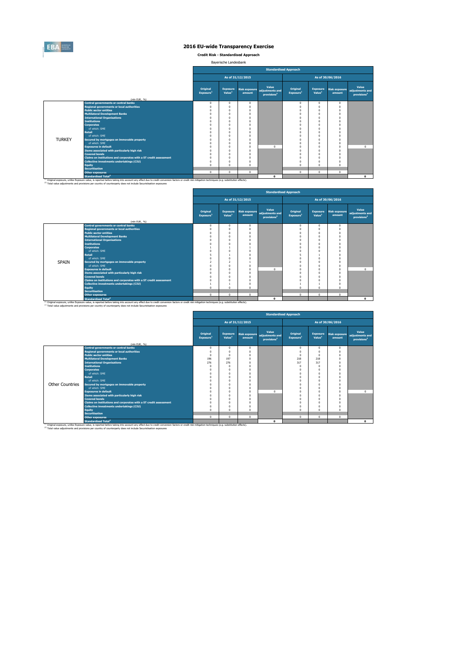

**Credit Risk - Standardised Approach**

Bayerische Landesbank

|               |                                                                                                                                                                                                                                                                                                                         |                                   |                                       |                                | <b>Standardised Approach</b>                        |                                   |                                       |                                |                                                     |
|---------------|-------------------------------------------------------------------------------------------------------------------------------------------------------------------------------------------------------------------------------------------------------------------------------------------------------------------------|-----------------------------------|---------------------------------------|--------------------------------|-----------------------------------------------------|-----------------------------------|---------------------------------------|--------------------------------|-----------------------------------------------------|
|               |                                                                                                                                                                                                                                                                                                                         |                                   |                                       | As of 31/12/2015               |                                                     |                                   |                                       | As of 30/06/2016               |                                                     |
|               |                                                                                                                                                                                                                                                                                                                         | Original<br>Exposure <sup>1</sup> | <b>Exposure</b><br>Value <sup>1</sup> | <b>Risk exposure</b><br>amount | Value<br>adiustments and<br>provisions <sup>2</sup> | Original<br>Exposure <sup>1</sup> | <b>Exposure</b><br>Value <sup>1</sup> | <b>Risk exposure</b><br>amount | Value<br>adjustments and<br>provisions <sup>2</sup> |
|               | (mln EUR. %)                                                                                                                                                                                                                                                                                                            |                                   |                                       |                                |                                                     |                                   |                                       |                                |                                                     |
|               | <b>Central governments or central banks</b>                                                                                                                                                                                                                                                                             | $\Omega$<br>$\Omega$              | $\Omega$<br>$\Omega$                  | $^{\circ}$<br>$\Omega$         |                                                     | $\mathbf{0}$<br>$\Omega$          | $^{\circ}$<br>O                       | $\Omega$<br>$\Omega$           |                                                     |
|               | <b>Regional governments or local authorities</b><br><b>Public sector entities</b>                                                                                                                                                                                                                                       |                                   | $\Omega$                              | $\Omega$                       |                                                     | $\Omega$                          |                                       | $\Omega$                       |                                                     |
|               | <b>Multilateral Development Banks</b>                                                                                                                                                                                                                                                                                   |                                   |                                       | n                              |                                                     | $\Omega$                          |                                       |                                |                                                     |
|               | <b>International Organisations</b>                                                                                                                                                                                                                                                                                      |                                   |                                       | n                              |                                                     | $\Omega$                          |                                       |                                |                                                     |
|               | <b>Institutions</b>                                                                                                                                                                                                                                                                                                     |                                   |                                       | n                              |                                                     | $\Omega$                          |                                       |                                |                                                     |
|               | <b>Corporates</b>                                                                                                                                                                                                                                                                                                       |                                   |                                       | O                              |                                                     | $\Omega$                          |                                       | $\Omega$                       |                                                     |
|               | of which: SMF                                                                                                                                                                                                                                                                                                           |                                   | n                                     | n                              |                                                     | $\Omega$                          |                                       |                                |                                                     |
|               | <b>Retail</b>                                                                                                                                                                                                                                                                                                           |                                   |                                       | O                              |                                                     | Ò                                 |                                       |                                |                                                     |
|               | of which: SMF                                                                                                                                                                                                                                                                                                           |                                   | $\Omega$                              | $\Omega$                       |                                                     | Ò                                 |                                       | $\Omega$                       |                                                     |
| <b>TURKEY</b> | Secured by mortgages on immovable property                                                                                                                                                                                                                                                                              |                                   |                                       | n                              |                                                     | $\Omega$                          |                                       |                                |                                                     |
|               | of which: SMF                                                                                                                                                                                                                                                                                                           |                                   |                                       | $\Omega$                       |                                                     | $\Omega$                          |                                       | $\Omega$                       |                                                     |
|               | <b>Exposures in default</b>                                                                                                                                                                                                                                                                                             |                                   |                                       | $\Omega$                       | $\Omega$                                            | $\Omega$                          |                                       | $\Omega$                       | $\Omega$                                            |
|               | Items associated with particularly high risk                                                                                                                                                                                                                                                                            |                                   | $\Omega$                              | $\Omega$                       |                                                     | $\Omega$                          |                                       | $\Omega$                       |                                                     |
|               | <b>Covered bonds</b>                                                                                                                                                                                                                                                                                                    |                                   | n                                     | n                              |                                                     | $\Omega$                          |                                       | $\Omega$                       |                                                     |
|               | Claims on institutions and corporates with a ST credit assessment                                                                                                                                                                                                                                                       |                                   | n                                     | O                              |                                                     | $\Omega$                          |                                       | $\Omega$                       |                                                     |
|               | Collective investments undertakings (CIU)                                                                                                                                                                                                                                                                               |                                   | $\Omega$                              | $\Omega$                       |                                                     | $\Omega$                          |                                       |                                |                                                     |
|               | <b>Equity</b>                                                                                                                                                                                                                                                                                                           |                                   | $\Omega$                              | n                              |                                                     | $\Omega$                          |                                       | $\Omega$                       |                                                     |
|               | <b>Securitisation</b>                                                                                                                                                                                                                                                                                                   |                                   |                                       |                                |                                                     |                                   |                                       |                                |                                                     |
|               | <b>Other exposures</b>                                                                                                                                                                                                                                                                                                  | $\Omega$                          | $\mathbf{0}$                          | $\mathbf{0}$                   |                                                     | $\mathbf 0$                       | $\Omega$                              | $\mathbf{0}$                   |                                                     |
|               | <b>Standardised Total<sup>2</sup></b>                                                                                                                                                                                                                                                                                   |                                   |                                       |                                | $\Omega$                                            |                                   |                                       |                                | $\Omega$                                            |
|               | (1) Original exposure, unlike Exposure value, is reported before taking into account any effect due to credit conversion factors or credit risk mitigation techniques (e.g. substitution effects).<br>(2) Total value adjustments and provisions per country of counterparty does not include Securistisation exposures |                                   |                                       |                                |                                                     |                                   |                                       |                                |                                                     |

|              |                                                                   |                                   |                                       |                  |                                                                   | <b>Standardised Approach</b>      |                                       |                                |                                                     |
|--------------|-------------------------------------------------------------------|-----------------------------------|---------------------------------------|------------------|-------------------------------------------------------------------|-----------------------------------|---------------------------------------|--------------------------------|-----------------------------------------------------|
|              |                                                                   |                                   |                                       | As of 31/12/2015 |                                                                   |                                   |                                       | As of 30/06/2016               |                                                     |
|              |                                                                   | Original<br>Exposure <sup>1</sup> | <b>Exposure</b><br>Value <sup>1</sup> | amount           | Value<br>Risk exposure adjustments and<br>provisions <sup>2</sup> | Original<br>Exposure <sup>1</sup> | <b>Exposure</b><br>Value <sup>1</sup> | <b>Risk exposure</b><br>amount | Value<br>adjustments and<br>provisions <sup>2</sup> |
|              | (mln EUR, %)                                                      |                                   |                                       |                  |                                                                   |                                   |                                       |                                |                                                     |
|              | <b>Central governments or central banks</b>                       | $^{\circ}$                        | $\mathbf{0}$                          | $^{\circ}$       |                                                                   | $\mathbf 0$                       | $\Omega$                              | $\mathbf{0}$                   |                                                     |
|              | <b>Regional governments or local authorities</b>                  | $^{\circ}$                        | $\Omega$                              | n                |                                                                   |                                   | n                                     | $\Omega$                       |                                                     |
|              | <b>Public sector entities</b>                                     | $^{\circ}$                        | 0                                     |                  |                                                                   |                                   | n                                     | $\Omega$                       |                                                     |
|              | <b>Multilateral Development Banks</b>                             | $\Omega$                          | $\Omega$                              |                  |                                                                   |                                   | n                                     | $\Omega$                       |                                                     |
|              | <b>International Organisations</b>                                | $\Omega$                          | $\Omega$                              |                  |                                                                   |                                   |                                       |                                |                                                     |
|              | <b>Institutions</b>                                               | $\Omega$                          | $\Omega$                              |                  |                                                                   |                                   |                                       | $\Omega$                       |                                                     |
|              | <b>Corporates</b><br>of which: SMF                                |                                   |                                       |                  |                                                                   |                                   |                                       | $\Omega$                       |                                                     |
|              | <b>Retail</b>                                                     | $\Omega$<br>5                     | $\Omega$                              |                  |                                                                   |                                   |                                       |                                |                                                     |
|              | of which: SME                                                     |                                   | $\Omega$                              |                  |                                                                   |                                   |                                       |                                |                                                     |
| <b>SPAIN</b> | Secured by mortgages on immovable property                        | $^{\circ}$<br>$\overline{2}$      | $\overline{ }$                        |                  |                                                                   |                                   | n                                     | $\Omega$                       |                                                     |
|              | of which: SME                                                     |                                   | $\Omega$                              |                  |                                                                   |                                   |                                       |                                |                                                     |
|              | <b>Exposures in default</b>                                       | $^{\circ}$<br>$\Omega$            | $\Omega$                              | n                | $\Omega$                                                          |                                   | n                                     | $\Omega$<br>$\Omega$           | $\Omega$                                            |
|              | Items associated with particularly high risk                      | $\Omega$                          | $\Omega$                              |                  |                                                                   |                                   |                                       | $\Omega$                       |                                                     |
|              | <b>Covered bonds</b>                                              | $\Omega$                          | $\Omega$                              |                  |                                                                   |                                   | n                                     | O                              |                                                     |
|              | Claims on institutions and corporates with a ST credit assessment | $\Omega$                          | $\Omega$                              |                  |                                                                   |                                   |                                       | $\Omega$                       |                                                     |
|              | <b>Collective investments undertakings (CIU)</b>                  |                                   |                                       |                  |                                                                   |                                   |                                       |                                |                                                     |
|              | <b>Equity</b>                                                     | $\Omega$                          | $\Omega$                              |                  |                                                                   | $\Omega$                          | n                                     | $\Omega$                       |                                                     |
|              | <b>Securitisation</b>                                             |                                   |                                       |                  |                                                                   |                                   |                                       |                                |                                                     |
|              | <b>Other exposures</b>                                            | $\Omega$                          | $\Omega$                              | $\Omega$         |                                                                   | $\Omega$                          | $\Omega$                              | $\Omega$                       |                                                     |
|              | <b>Standardised Total<sup>2</sup></b>                             |                                   |                                       |                  | $\mathbf{0}$                                                      |                                   |                                       |                                | $\Omega$                                            |

<sup>10</sup> Original exposure, unlike Exposure Total of Total Total Total Count any effect due to credit conversion factors or credit risk mitigation techniques (e.g. substitution effects).<br><sup>21</sup> Total value adjustments and provis

|                        | <b>Standardised Approach</b>                                                                                                                                                                                                                                                                                                       |                                   |                                       |                                |                                                     |                                   |                                       |                                |                                                     |  |  |  |
|------------------------|------------------------------------------------------------------------------------------------------------------------------------------------------------------------------------------------------------------------------------------------------------------------------------------------------------------------------------|-----------------------------------|---------------------------------------|--------------------------------|-----------------------------------------------------|-----------------------------------|---------------------------------------|--------------------------------|-----------------------------------------------------|--|--|--|
|                        |                                                                                                                                                                                                                                                                                                                                    |                                   |                                       | As of 31/12/2015               |                                                     |                                   |                                       | As of 30/06/2016               |                                                     |  |  |  |
|                        | (mln EUR, %)                                                                                                                                                                                                                                                                                                                       | Original<br>Exposure <sup>1</sup> | <b>Exposure</b><br>Value <sup>1</sup> | <b>Risk exposure</b><br>amount | Value<br>adjustments and<br>provisions <sup>2</sup> | Original<br>Exposure <sup>1</sup> | <b>Exposure</b><br>Value <sup>1</sup> | <b>Risk exposure</b><br>amount | Value<br>adjustments and<br>provisions <sup>2</sup> |  |  |  |
|                        | <b>Central governments or central banks</b>                                                                                                                                                                                                                                                                                        | $\mathbf 0$                       | $^{\circ}$                            | $\Omega$                       |                                                     | $\mathbf 0$                       | $\mathbf{0}$                          | $\Omega$                       |                                                     |  |  |  |
|                        | <b>Regional governments or local authorities</b>                                                                                                                                                                                                                                                                                   | $\Omega$                          |                                       |                                |                                                     | $\Omega$                          | $\Omega$                              | $\theta$                       |                                                     |  |  |  |
|                        | <b>Public sector entities</b>                                                                                                                                                                                                                                                                                                      | $\Omega$                          | O                                     |                                |                                                     | $^{\circ}$                        | $\Omega$                              | $\Omega$                       |                                                     |  |  |  |
|                        | <b>Multilateral Development Banks</b>                                                                                                                                                                                                                                                                                              | 196                               | 197                                   | $\Omega$                       |                                                     | 218                               | 218                                   | $\Omega$                       |                                                     |  |  |  |
|                        | <b>International Organisations</b>                                                                                                                                                                                                                                                                                                 | 276                               | 276                                   |                                |                                                     | 317                               | 317                                   | $\Omega$                       |                                                     |  |  |  |
|                        | <b>Institutions</b>                                                                                                                                                                                                                                                                                                                | $\Omega$                          |                                       |                                |                                                     | $\Omega$                          | $\Omega$                              |                                |                                                     |  |  |  |
|                        | <b>Corporates</b>                                                                                                                                                                                                                                                                                                                  | O                                 | O                                     |                                |                                                     | $\Omega$                          | $\Omega$                              |                                |                                                     |  |  |  |
|                        | of which: SME                                                                                                                                                                                                                                                                                                                      | O                                 |                                       |                                |                                                     | $\Omega$                          | $\Omega$                              |                                |                                                     |  |  |  |
|                        | <b>Retail</b>                                                                                                                                                                                                                                                                                                                      | $\Omega$                          | O                                     |                                |                                                     | $\Omega$                          | $\Omega$                              | $\Omega$                       |                                                     |  |  |  |
|                        | of which: SME                                                                                                                                                                                                                                                                                                                      | O                                 | O                                     |                                |                                                     | $\Omega$                          | $\Omega$                              | $\Omega$                       |                                                     |  |  |  |
| <b>Other Countries</b> | Secured by mortgages on immovable property                                                                                                                                                                                                                                                                                         | $\Omega$                          |                                       |                                |                                                     |                                   | $\Omega$                              |                                |                                                     |  |  |  |
|                        | of which: SMF                                                                                                                                                                                                                                                                                                                      | $\Omega$                          | O                                     |                                |                                                     | $\Omega$                          | $\Omega$                              | $\Omega$                       |                                                     |  |  |  |
|                        | <b>Exposures in default</b>                                                                                                                                                                                                                                                                                                        | O                                 | O                                     |                                | $\Omega$                                            | $\Omega$                          | $\Omega$                              | $\Omega$                       | $\Omega$                                            |  |  |  |
|                        | Items associated with particularly high risk                                                                                                                                                                                                                                                                                       | Ō                                 |                                       |                                |                                                     | $\Omega$                          | $\Omega$                              | C                              |                                                     |  |  |  |
|                        | <b>Covered bonds</b>                                                                                                                                                                                                                                                                                                               | O                                 | O                                     |                                |                                                     | $\Omega$                          | $\Omega$                              | $\Omega$                       |                                                     |  |  |  |
|                        | Claims on institutions and corporates with a ST credit assessment                                                                                                                                                                                                                                                                  | O                                 | O                                     |                                |                                                     | $\Omega$                          | $\Omega$                              | $\Omega$                       |                                                     |  |  |  |
|                        | Collective investments undertakings (CIU)                                                                                                                                                                                                                                                                                          | $\Omega$                          | O                                     |                                |                                                     | $\Omega$                          | $\Omega$                              |                                |                                                     |  |  |  |
|                        | <b>Equity</b>                                                                                                                                                                                                                                                                                                                      | $\Omega$                          | $\theta$                              |                                |                                                     | $\Omega$                          | $\Omega$                              | $\Omega$                       |                                                     |  |  |  |
|                        | <b>Securitisation</b>                                                                                                                                                                                                                                                                                                              |                                   |                                       |                                |                                                     |                                   |                                       |                                |                                                     |  |  |  |
|                        | <b>Other exposures</b>                                                                                                                                                                                                                                                                                                             | $^{\circ}$                        | $\mathbf{0}$                          | $\Omega$                       |                                                     | $\mathbf 0$                       | $\Omega$                              | $\Omega$                       |                                                     |  |  |  |
|                        | <b>Standardised Total<sup>2</sup></b>                                                                                                                                                                                                                                                                                              |                                   |                                       |                                | $\Omega$                                            |                                   |                                       |                                | $\Omega$                                            |  |  |  |
|                        | <sup>(1)</sup> Original exposure, unlike Exposure value, is reported before taking into account any effect due to credit conversion factors or credit risk mitigation techniques (e.g. substitution effects).<br>(2) Total value adjustments and provisions per country of counterparty does not include Securistisation exposures |                                   |                                       |                                |                                                     |                                   |                                       |                                |                                                     |  |  |  |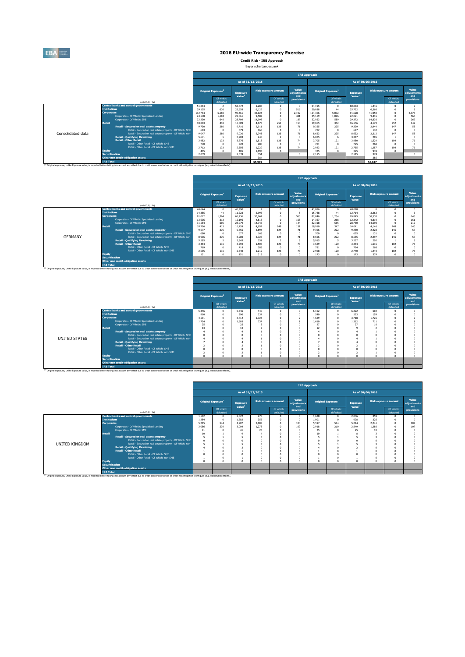

**Credit Risk - IRB Approach** Bayerische Landesbank

| As of 31/12/2015<br>As of 30/06/2016<br>Value<br><b>Risk exposure amount</b><br><b>Risk exposure amount</b><br><b>Original Exposure<sup>1</sup></b><br>Original Exposure <sup>1</sup><br><b>Exposure</b><br><b>Exposure</b><br>adiustments<br>Value <sup>1</sup><br>Value <sup>1</sup><br>and<br>and<br>Of which:<br>Of which:<br>Of which:<br>Of which:<br>provisions<br>defaulted<br>defaulted<br>defaulted<br>defaulted<br>(mln EUR, %)<br><b>Central banks and central governments</b><br>51.864<br>58.772<br>1.288<br>54.195<br>60.883<br>1.446<br>$^{\circ}$<br>29,105<br>636<br>6.129<br>29,038<br>516<br>44<br>25.722<br>6,360<br><b>Tnstitutions</b><br>25.658<br>2.192<br>112,764<br>42.024<br>114,366<br>5.072<br>91.628<br>41,950<br>5.169<br>90.461<br>2.373<br><b>Corporates</b><br>Corporates - Of Which: Specialised Lending<br>9.582<br>481<br>1.096<br>24,578<br>25.159<br>22.021<br>1.104<br>22.061<br>566<br>9,416<br>Corporates - Of Which: SME<br>187<br>589<br>32.230<br>28.709<br>32,953<br>29.372<br>648<br>14,998<br>14.830<br>262<br><b>Retail</b><br>251<br>153<br>352<br>16,889<br>19.065<br>252<br>18,883<br>418<br>4.677<br>16.156<br>4.173<br>142<br>125<br>280<br>71<br>225<br>Retail - Secured on real estate property<br>9.730<br>9.355<br>9.329<br>58<br>9.710<br>2.911<br>2.444<br>147<br>683<br>168<br>702<br>697<br>$\sqrt{2}$<br>132<br>Retail - Secured on real estate property - Of Which: SME<br>679<br>$\Omega$<br>n<br>Consolidated data<br>225<br>280<br>125<br>71<br>9.047<br>2.743<br>8.632<br>9.030<br>8.653<br>2.312<br>147<br>Retail - Secured on real estate property - Of Which: non-<br><b>Retail - Qualifying Revolving</b><br>6.005<br>205<br>5.671<br>248<br>3.903<br>6<br>3.347<br><b>Retail - Other Retail</b><br>125<br>3.482<br>133<br>74<br>3.705<br>121<br>3.480<br>3.276<br>1.518<br>1.524<br>104 |                                       |  |     |  | <b>IRB Approach</b> |     |  |                      |
|-------------------------------------------------------------------------------------------------------------------------------------------------------------------------------------------------------------------------------------------------------------------------------------------------------------------------------------------------------------------------------------------------------------------------------------------------------------------------------------------------------------------------------------------------------------------------------------------------------------------------------------------------------------------------------------------------------------------------------------------------------------------------------------------------------------------------------------------------------------------------------------------------------------------------------------------------------------------------------------------------------------------------------------------------------------------------------------------------------------------------------------------------------------------------------------------------------------------------------------------------------------------------------------------------------------------------------------------------------------------------------------------------------------------------------------------------------------------------------------------------------------------------------------------------------------------------------------------------------------------------------------------------------------------------------------------------------------------------------------------------------------------------------------------------------------------------------------------------------------------|---------------------------------------|--|-----|--|---------------------|-----|--|----------------------|
|                                                                                                                                                                                                                                                                                                                                                                                                                                                                                                                                                                                                                                                                                                                                                                                                                                                                                                                                                                                                                                                                                                                                                                                                                                                                                                                                                                                                                                                                                                                                                                                                                                                                                                                                                                                                                                                                   |                                       |  |     |  |                     |     |  |                      |
|                                                                                                                                                                                                                                                                                                                                                                                                                                                                                                                                                                                                                                                                                                                                                                                                                                                                                                                                                                                                                                                                                                                                                                                                                                                                                                                                                                                                                                                                                                                                                                                                                                                                                                                                                                                                                                                                   |                                       |  |     |  |                     |     |  | Value<br>adiustments |
|                                                                                                                                                                                                                                                                                                                                                                                                                                                                                                                                                                                                                                                                                                                                                                                                                                                                                                                                                                                                                                                                                                                                                                                                                                                                                                                                                                                                                                                                                                                                                                                                                                                                                                                                                                                                                                                                   |                                       |  |     |  |                     |     |  | provisions           |
|                                                                                                                                                                                                                                                                                                                                                                                                                                                                                                                                                                                                                                                                                                                                                                                                                                                                                                                                                                                                                                                                                                                                                                                                                                                                                                                                                                                                                                                                                                                                                                                                                                                                                                                                                                                                                                                                   |                                       |  |     |  |                     |     |  |                      |
|                                                                                                                                                                                                                                                                                                                                                                                                                                                                                                                                                                                                                                                                                                                                                                                                                                                                                                                                                                                                                                                                                                                                                                                                                                                                                                                                                                                                                                                                                                                                                                                                                                                                                                                                                                                                                                                                   |                                       |  |     |  |                     |     |  |                      |
|                                                                                                                                                                                                                                                                                                                                                                                                                                                                                                                                                                                                                                                                                                                                                                                                                                                                                                                                                                                                                                                                                                                                                                                                                                                                                                                                                                                                                                                                                                                                                                                                                                                                                                                                                                                                                                                                   |                                       |  |     |  |                     |     |  |                      |
|                                                                                                                                                                                                                                                                                                                                                                                                                                                                                                                                                                                                                                                                                                                                                                                                                                                                                                                                                                                                                                                                                                                                                                                                                                                                                                                                                                                                                                                                                                                                                                                                                                                                                                                                                                                                                                                                   |                                       |  |     |  |                     |     |  |                      |
|                                                                                                                                                                                                                                                                                                                                                                                                                                                                                                                                                                                                                                                                                                                                                                                                                                                                                                                                                                                                                                                                                                                                                                                                                                                                                                                                                                                                                                                                                                                                                                                                                                                                                                                                                                                                                                                                   |                                       |  |     |  |                     |     |  |                      |
|                                                                                                                                                                                                                                                                                                                                                                                                                                                                                                                                                                                                                                                                                                                                                                                                                                                                                                                                                                                                                                                                                                                                                                                                                                                                                                                                                                                                                                                                                                                                                                                                                                                                                                                                                                                                                                                                   |                                       |  |     |  |                     |     |  |                      |
|                                                                                                                                                                                                                                                                                                                                                                                                                                                                                                                                                                                                                                                                                                                                                                                                                                                                                                                                                                                                                                                                                                                                                                                                                                                                                                                                                                                                                                                                                                                                                                                                                                                                                                                                                                                                                                                                   |                                       |  |     |  |                     |     |  |                      |
|                                                                                                                                                                                                                                                                                                                                                                                                                                                                                                                                                                                                                                                                                                                                                                                                                                                                                                                                                                                                                                                                                                                                                                                                                                                                                                                                                                                                                                                                                                                                                                                                                                                                                                                                                                                                                                                                   |                                       |  |     |  |                     |     |  |                      |
|                                                                                                                                                                                                                                                                                                                                                                                                                                                                                                                                                                                                                                                                                                                                                                                                                                                                                                                                                                                                                                                                                                                                                                                                                                                                                                                                                                                                                                                                                                                                                                                                                                                                                                                                                                                                                                                                   |                                       |  |     |  |                     |     |  |                      |
|                                                                                                                                                                                                                                                                                                                                                                                                                                                                                                                                                                                                                                                                                                                                                                                                                                                                                                                                                                                                                                                                                                                                                                                                                                                                                                                                                                                                                                                                                                                                                                                                                                                                                                                                                                                                                                                                   |                                       |  |     |  |                     |     |  |                      |
| 770<br>720<br>781<br>268<br>$\Omega$<br>$\Omega$                                                                                                                                                                                                                                                                                                                                                                                                                                                                                                                                                                                                                                                                                                                                                                                                                                                                                                                                                                                                                                                                                                                                                                                                                                                                                                                                                                                                                                                                                                                                                                                                                                                                                                                                                                                                                  | Retail - Other Retail - Of Which: SME |  | 288 |  |                     | 725 |  |                      |
| Retail - Other Retail - Of Which: non-SME<br>125<br>133<br>1.229<br>74<br>2.755<br>2.556<br>2.923<br>121<br>1.257<br>104<br>2.712                                                                                                                                                                                                                                                                                                                                                                                                                                                                                                                                                                                                                                                                                                                                                                                                                                                                                                                                                                                                                                                                                                                                                                                                                                                                                                                                                                                                                                                                                                                                                                                                                                                                                                                                 |                                       |  |     |  |                     |     |  | 76                   |
| 405<br>$\sim$<br>325<br>1.093<br>325<br>939<br>405<br>$\Omega$<br><b>Equity</b>                                                                                                                                                                                                                                                                                                                                                                                                                                                                                                                                                                                                                                                                                                                                                                                                                                                                                                                                                                                                                                                                                                                                                                                                                                                                                                                                                                                                                                                                                                                                                                                                                                                                                                                                                                                   |                                       |  |     |  |                     |     |  |                      |
| 354<br>374<br>2.039<br><b>Securitisation</b><br>2.039<br>2.115<br>2.115                                                                                                                                                                                                                                                                                                                                                                                                                                                                                                                                                                                                                                                                                                                                                                                                                                                                                                                                                                                                                                                                                                                                                                                                                                                                                                                                                                                                                                                                                                                                                                                                                                                                                                                                                                                           |                                       |  |     |  |                     |     |  | $\Omega$             |
| 384<br>385<br>Other non credit-obligation assets                                                                                                                                                                                                                                                                                                                                                                                                                                                                                                                                                                                                                                                                                                                                                                                                                                                                                                                                                                                                                                                                                                                                                                                                                                                                                                                                                                                                                                                                                                                                                                                                                                                                                                                                                                                                                  |                                       |  |     |  |                     |     |  |                      |
| <b>IRB Total</b><br>55,949<br>55.627<br>(1) Original exposure, unlike Exposure value, is reported before taking into account any effect due to credit conversion factors or credit risk mitigation techniques (e.g. substitution effects).                                                                                                                                                                                                                                                                                                                                                                                                                                                                                                                                                                                                                                                                                                                                                                                                                                                                                                                                                                                                                                                                                                                                                                                                                                                                                                                                                                                                                                                                                                                                                                                                                        |                                       |  |     |  |                     |     |  |                      |

|                |                       |                                                                                                                                                                                                              | <b>IRB Approach</b> |                                |                                       |                  |                             |                             |        |                                      |                                       |        |                             |                             |  |
|----------------|-----------------------|--------------------------------------------------------------------------------------------------------------------------------------------------------------------------------------------------------------|---------------------|--------------------------------|---------------------------------------|------------------|-----------------------------|-----------------------------|--------|--------------------------------------|---------------------------------------|--------|-----------------------------|-----------------------------|--|
|                |                       |                                                                                                                                                                                                              |                     |                                |                                       | As of 31/12/2015 |                             |                             |        |                                      | As of 30/06/2016                      |        |                             |                             |  |
|                |                       |                                                                                                                                                                                                              |                     | Original Exposure <sup>1</sup> | <b>Exposure</b><br>Value <sup>1</sup> |                  | <b>Risk exposure amount</b> | Value<br>adiustments<br>and |        | <b>Original Exposure<sup>1</sup></b> | <b>Exposure</b><br>Value <sup>1</sup> |        | <b>Risk exposure amount</b> | Value<br>adiustments<br>and |  |
|                |                       | (mln EUR, %)                                                                                                                                                                                                 |                     | Of which:<br>defaulted         |                                       |                  | Of which:<br>defaulted      | provisions                  |        | Of which:<br>defaulted               |                                       |        | Of which:<br>defaulted      | provisions                  |  |
|                |                       | <b>Central banks and central governments</b>                                                                                                                                                                 | 40,644              | $\Omega$                       | 46,990                                |                  |                             |                             | 41.886 | $\Omega$                             | 48,018                                |        |                             |                             |  |
|                | <b>Institutions</b>   |                                                                                                                                                                                                              | 14,385              | 44                             | 11.223                                | 2.996            |                             |                             | 15,788 | 44                                   | 12.714                                | 3.263  |                             |                             |  |
|                | <b>Corporates</b>     |                                                                                                                                                                                                              | 81.072              | 1.364                          | 65.236                                | 30,661           |                             | 566                         | 82.046 | 1.234                                | 65.845                                | 30.530 |                             | 645                         |  |
|                |                       | Corporates - Of Which: Specialised Lending                                                                                                                                                                   | 13,606              | 313                            | 12.196                                | 4.818            |                             | 168                         | 14.367 | 268                                  | 12.342                                | 4.819  |                             | 151                         |  |
|                |                       | Corporates - Of Which: SME                                                                                                                                                                                   | 31,584              | 606                            | 28,079                                | 14.745           |                             | 144                         | 32,318 | 565                                  | 28,780                                | 14,598 |                             | 212                         |  |
|                | <b>Retail</b>         |                                                                                                                                                                                                              | 18.726              | 413                            | 16.759                                | 4.652            | 248                         | 151                         | 18,910 | 347                                  | 16.041                                | 4.146  | 248                         | 140                         |  |
|                |                       | Retail - Secured on real estate property                                                                                                                                                                     | 9.677               | 276                            | 9.656                                 | 2.894            | 124                         | 71                          | 9.306  | 222                                  | 9,280                                 | 2.428  | 145                         | 57                          |  |
|                |                       | Retail - Secured on real estate property - Of Which: SME                                                                                                                                                     | 680                 | n                              | 677                                   | 168              |                             | $\Omega$                    | 700    | $\Omega$                             | 695                                   | 131    |                             |                             |  |
| <b>GERMANY</b> |                       | Retail - Secured on real estate property - Of Which: non-                                                                                                                                                    | 8.996               | 276                            | 8,980                                 | 2.726            | 124                         | 71                          | 8,606  | 222                                  | 8.585                                 | 2.297  | 145                         |                             |  |
|                |                       | <b>Retail - Qualifying Revolving</b>                                                                                                                                                                         | 5.585               |                                | 3.843                                 | 251              |                             |                             | 5.915  | 5                                    | 3.297                                 | 202    |                             |                             |  |
|                |                       | <b>Retail - Other Retail</b>                                                                                                                                                                                 | 3.464               | 131                            | 3.259                                 | 1,508            | 123                         | 73                          | 3,689  | 120                                  | 3.464                                 | 1.516  | 102                         |                             |  |
|                |                       | Retail - Other Retail - Of Which: SME                                                                                                                                                                        | 769                 |                                | 719                                   | 288              |                             |                             | 781    | $\Omega$                             | 724                                   | 268    |                             |                             |  |
|                |                       | Retail - Other Retail - Of Which: non-SME                                                                                                                                                                    | 2.695               | 131                            | 2.540                                 | 1.219            | 123                         | 73                          | 2.908  | 120                                  | 2.740                                 | 1.249  | 102                         |                             |  |
|                | <b>Equity</b>         |                                                                                                                                                                                                              | 151                 |                                | 151                                   | 318              |                             |                             | 173    | $\Omega$                             | 173                                   | 374    |                             |                             |  |
|                | <b>Securitisation</b> |                                                                                                                                                                                                              |                     |                                |                                       |                  |                             |                             |        |                                      |                                       |        |                             |                             |  |
|                |                       | Other non credit-obligation assets                                                                                                                                                                           |                     |                                |                                       |                  |                             |                             |        |                                      |                                       |        |                             |                             |  |
|                | <b>IRB Total</b>      |                                                                                                                                                                                                              |                     |                                |                                       |                  |                             |                             |        |                                      |                                       |        |                             |                             |  |
|                |                       | <sup>(3)</sup> Original exposure, unlike Exposure value, is reported before taking into account any effect due to credit conversion factors or credit risk mitigation techniques (e.g. substitution effects) |                     |                                |                                       |                  |                             |                             |        |                                      |                                       |        |                             |                             |  |

|               |                       |                                                                                                                                                                                                                                          | <b>IRB Approach</b> |                                |                                       |       |                             |                             |          |                                |                    |                  |                             |                      |  |
|---------------|-----------------------|------------------------------------------------------------------------------------------------------------------------------------------------------------------------------------------------------------------------------------------|---------------------|--------------------------------|---------------------------------------|-------|-----------------------------|-----------------------------|----------|--------------------------------|--------------------|------------------|-----------------------------|----------------------|--|
|               |                       |                                                                                                                                                                                                                                          |                     |                                | As of 31/12/2015                      |       |                             |                             |          |                                |                    | As of 30/06/2016 |                             |                      |  |
|               |                       |                                                                                                                                                                                                                                          |                     | Original Exposure <sup>1</sup> | <b>Exposure</b><br>Value <sup>1</sup> |       | <b>Risk exposure amount</b> | Value<br>adjustments<br>and |          | Original Exposure <sup>1</sup> | Exposure           |                  | <b>Risk exposure amount</b> | Value<br>adjustments |  |
|               |                       | (min EUR, %)                                                                                                                                                                                                                             |                     | Of which:<br>defaulted         |                                       |       | Of which:<br>defaulted      | provisions                  |          | Of which:<br>defaulted         | Value <sup>1</sup> |                  | Of which:<br>defaulted      | and<br>provisions    |  |
|               |                       | <b>Central banks and central governments</b>                                                                                                                                                                                             | 5.346               |                                | 5.546                                 | 440   |                             | $\Omega$                    | 6.102    |                                | 6.322              | 502              |                             |                      |  |
|               | <b>Institutions</b>   |                                                                                                                                                                                                                                          | 910                 |                                | 896                                   | 234   |                             | $^{\circ}$                  | 540      |                                | 523                | 159              |                             |                      |  |
|               | <b>Corporates</b>     |                                                                                                                                                                                                                                          | 4.591               |                                | 3.712                                 | 1.723 |                             |                             | 4,689    |                                | 3.718              | 1.726            |                             |                      |  |
|               |                       | Corporates - Of Which: Specialised Lending                                                                                                                                                                                               | 1.724               |                                | 1.503                                 | 737   |                             |                             | 1.610    |                                | 1.362              | 711              |                             |                      |  |
|               |                       | Corporates - Of Which: SME                                                                                                                                                                                                               | 25                  |                                | 25                                    |       |                             | $\Omega$                    | 27       |                                | 27                 | 10 <sup>10</sup> |                             |                      |  |
|               | <b>Retail</b>         |                                                                                                                                                                                                                                          | 13                  |                                | 10                                    |       |                             | $\Omega$                    | 12       |                                |                    |                  |                             |                      |  |
|               |                       | Retail - Secured on real estate property                                                                                                                                                                                                 |                     |                                |                                       |       |                             | $\Omega$                    |          |                                |                    |                  |                             |                      |  |
|               |                       | Retail - Secured on real estate property - Of Which: SME                                                                                                                                                                                 |                     |                                |                                       |       |                             | $\Omega$                    |          |                                |                    |                  |                             |                      |  |
| UNITED STATES |                       | Retail - Secured on real estate property - Of Which: non-                                                                                                                                                                                |                     |                                |                                       |       |                             | $\Omega$                    |          |                                |                    |                  |                             |                      |  |
|               |                       | <b>Retail - Qualifying Revolving</b>                                                                                                                                                                                                     |                     |                                |                                       |       |                             | $\Omega$                    |          |                                |                    |                  |                             |                      |  |
|               |                       | <b>Retail - Other Retail</b>                                                                                                                                                                                                             |                     |                                |                                       |       |                             | $\Omega$                    |          |                                |                    |                  |                             |                      |  |
|               |                       | Retail - Other Retail - Of Which: SME                                                                                                                                                                                                    |                     |                                |                                       |       |                             | $\Omega$                    |          |                                |                    |                  |                             |                      |  |
|               |                       | Retail - Other Retail - Of Which: non-SME                                                                                                                                                                                                |                     |                                |                                       |       |                             | $\Omega$                    |          |                                |                    |                  |                             |                      |  |
|               | <b>Equity</b>         |                                                                                                                                                                                                                                          |                     |                                | $\sim$                                |       |                             | $\Omega$                    | $\theta$ |                                |                    |                  | $\lambda$                   |                      |  |
|               | <b>Securitisation</b> |                                                                                                                                                                                                                                          |                     |                                |                                       |       |                             |                             |          |                                |                    |                  |                             |                      |  |
|               |                       |                                                                                                                                                                                                                                          |                     |                                |                                       |       |                             |                             |          |                                |                    |                  |                             |                      |  |
|               | <b>IRB Total</b>      |                                                                                                                                                                                                                                          |                     |                                |                                       |       |                             |                             |          |                                |                    |                  |                             |                      |  |
|               |                       | Other non credit-obligation assets<br>(3) Original exposure, unlike Exposure value, is reported before taking into account any effect due to credit conversion factors or credit risk mitigation techniques (e.g. substitution effects). |                     |                                |                                       |       |                             |                             |          |                                |                    |                  |                             |                      |  |

|                |                       |                                                           | <b>IRB Approach</b> |                                |                                       |                             |                        |                             |                                |                        |                                       |                  |                             |                             |
|----------------|-----------------------|-----------------------------------------------------------|---------------------|--------------------------------|---------------------------------------|-----------------------------|------------------------|-----------------------------|--------------------------------|------------------------|---------------------------------------|------------------|-----------------------------|-----------------------------|
|                |                       |                                                           |                     |                                |                                       | As of 31/12/2015            |                        |                             |                                |                        |                                       | As of 30/06/2016 |                             |                             |
|                |                       |                                                           |                     | Original Exposure <sup>1</sup> | <b>Exposure</b><br>Value <sup>1</sup> | <b>Risk exposure amount</b> |                        | Value<br>adjustments<br>and | Original Exposure <sup>1</sup> |                        | <b>Exposure</b><br>Value <sup>1</sup> |                  | <b>Risk exposure amount</b> | Value<br>adjustments<br>and |
|                |                       | (min EUR, %)                                              |                     | Of which:<br>defaulted         |                                       |                             | Of which:<br>defaulted | provisions                  |                                | Of which:<br>defaulted |                                       |                  | Of which:<br>defaulted      | provisions                  |
|                |                       | <b>Central banks and central governments</b>              | 1.592               | $\Omega$                       | 2.022                                 | 278                         |                        |                             | 1.638                          | $\Omega$               | 2.036                                 | 359              |                             |                             |
|                | <b>Institutions</b>   |                                                           | 1.284               | $\Omega$                       | 1.282                                 | 356                         |                        |                             | 1.001                          | $\Omega$               | 998                                   | 326              |                             |                             |
|                | <b>Corporates</b>     |                                                           | 5.215               | 544                            | 4.907                                 | 2.007                       |                        | 103                         | 5.597                          | 544                    | 5.244                                 | 2.241            |                             | 107                         |
|                |                       | Corporates - Of Which: Specialised Lending                | 3.086               | 239                            | 3.004                                 | 1,278                       |                        | 102                         | 2.918                          | 210                    | 2.849                                 | 1.280            |                             | 107                         |
|                |                       | Corporates - Of Which: SME                                | 41                  |                                | 41                                    | 23                          |                        |                             | 25                             |                        | 25                                    | 10               |                             |                             |
|                | <b>Retail</b>         |                                                           | 10                  |                                |                                       |                             |                        |                             | 10                             |                        |                                       |                  |                             |                             |
|                |                       | Retail - Secured on real estate property                  |                     |                                |                                       |                             |                        |                             |                                |                        |                                       |                  |                             |                             |
|                |                       | Retail - Secured on real estate property - Of Which: SME  | $\Omega$            |                                |                                       |                             |                        |                             |                                |                        |                                       |                  |                             |                             |
| UNITED KINGDOM |                       | Retail - Secured on real estate property - Of Which: non- |                     |                                |                                       |                             |                        |                             |                                |                        |                                       |                  |                             |                             |
|                |                       | <b>Retail - Qualifying Revolving</b>                      |                     |                                |                                       |                             |                        |                             |                                |                        |                                       |                  |                             |                             |
|                |                       | <b>Retail - Other Retail</b>                              |                     |                                |                                       |                             |                        |                             |                                |                        |                                       |                  |                             |                             |
|                |                       | Retail - Other Retail - Of Which: SME                     |                     |                                |                                       |                             |                        |                             |                                |                        |                                       |                  |                             |                             |
|                |                       | Retail - Other Retail - Of Which: non-SME                 |                     |                                |                                       |                             |                        |                             |                                |                        |                                       |                  |                             |                             |
|                | Equity                |                                                           | n.                  |                                |                                       |                             |                        |                             | o                              |                        |                                       |                  |                             |                             |
|                | <b>Securitisation</b> |                                                           |                     |                                |                                       |                             |                        |                             |                                |                        |                                       |                  |                             |                             |
|                |                       | Other non credit-obligation assets                        |                     |                                |                                       |                             |                        |                             |                                |                        |                                       |                  |                             |                             |
|                | <b>IRB Total</b>      |                                                           |                     |                                |                                       |                             |                        |                             |                                |                        |                                       |                  |                             |                             |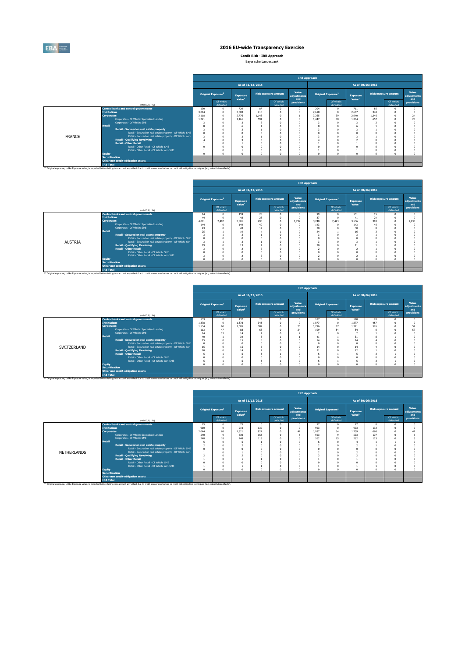

**Credit Risk - IRB Approach**

| Baverische Landesbank |
|-----------------------|
|                       |

<u> 1980 - Johann Barbara, martxa alemaniar a</u>

|               |                                                                                                                                                                                                               |       |                                |                                       |       |                             | <b>IRB Approach</b>         |                                |                        |                                       |       |                             |                             |
|---------------|---------------------------------------------------------------------------------------------------------------------------------------------------------------------------------------------------------------|-------|--------------------------------|---------------------------------------|-------|-----------------------------|-----------------------------|--------------------------------|------------------------|---------------------------------------|-------|-----------------------------|-----------------------------|
|               |                                                                                                                                                                                                               |       |                                | As of 31/12/2015                      |       |                             |                             |                                |                        | As of 30/06/2016                      |       |                             |                             |
|               |                                                                                                                                                                                                               |       | Original Exposure <sup>1</sup> | <b>Exposure</b><br>Value <sup>1</sup> |       | <b>Risk exposure amount</b> | Value<br>adjustments<br>and | Original Exposure <sup>1</sup> |                        | <b>Exposure</b><br>Value <sup>1</sup> |       | <b>Risk exposure amount</b> | Value<br>adiustments<br>and |
|               | (mln EUR, %)                                                                                                                                                                                                  |       | Of which:<br>defaulted         |                                       |       | Of which:<br>defaulted      | provisions                  |                                | Of which:<br>defaulted |                                       |       | Of which:<br>defaulted      | provisions                  |
|               | <b>Central banks and central governments</b>                                                                                                                                                                  | 190   |                                | 729                                   | 87    | $\Omega$                    |                             | 204                            | $\Omega$               | 711                                   | 85    |                             |                             |
|               | <b>Institutions</b>                                                                                                                                                                                           | 3,094 |                                | 3.083                                 | 416   | $\Omega$                    |                             | 2.618                          | $\Omega$               | 2.607                                 | 348   |                             |                             |
|               | <b>Corporates</b>                                                                                                                                                                                             | 3.118 |                                | 2.776                                 | 1,148 | $\Omega$                    |                             | 3.265                          | 39                     | 2.940                                 | 1.246 |                             | $^{24}$                     |
|               | Corporates - Of Which: Specialised Lending                                                                                                                                                                    | 1.221 |                                | 1.161                                 | 591   |                             |                             | 1.447                          | 38                     | 1.364                                 | 657   |                             | 23                          |
|               | Corporates - Of Which: SME                                                                                                                                                                                    |       |                                |                                       |       |                             |                             |                                |                        |                                       |       |                             |                             |
|               | Retail                                                                                                                                                                                                        |       |                                |                                       |       |                             |                             | ۶                              |                        |                                       |       |                             |                             |
|               | Retail - Secured on real estate property                                                                                                                                                                      |       |                                |                                       |       |                             |                             | 3                              |                        |                                       |       |                             |                             |
|               | Retail - Secured on real estate property - Of Which: SME                                                                                                                                                      |       |                                |                                       |       |                             |                             |                                |                        |                                       |       |                             |                             |
| <b>FRANCE</b> | Retail - Secured on real estate property - Of Which: non-                                                                                                                                                     |       |                                |                                       |       |                             |                             |                                |                        |                                       |       |                             |                             |
|               | <b>Retail - Qualifying Revolving</b>                                                                                                                                                                          |       |                                |                                       |       |                             |                             |                                |                        |                                       |       |                             |                             |
|               | <b>Retail - Other Retail</b>                                                                                                                                                                                  |       |                                |                                       |       | $\Omega$                    |                             |                                |                        |                                       |       |                             |                             |
|               | Retail - Other Retail - Of Which: SME                                                                                                                                                                         |       |                                |                                       |       |                             |                             |                                |                        |                                       |       |                             |                             |
|               | Retail - Other Retail - Of Which: non-SME                                                                                                                                                                     |       |                                |                                       |       | $\Omega$                    |                             |                                |                        |                                       |       |                             |                             |
|               | Equity                                                                                                                                                                                                        |       |                                |                                       |       | $\sqrt{2}$                  |                             | $\theta$                       | $\Omega$               |                                       |       |                             |                             |
|               | <b>Securitisation</b><br>Other non credit-obligation assets                                                                                                                                                   |       |                                |                                       |       |                             |                             |                                |                        |                                       |       |                             |                             |
|               | <b>IRB Total</b>                                                                                                                                                                                              |       |                                |                                       |       |                             |                             |                                |                        |                                       |       |                             |                             |
|               | <sup>(1)</sup> Original exposure, unlike Exposure value, is reported before taking into account any effect due to credit conversion factors or credit risk mitigation techniques (e.g. substitution effects). |       |                                |                                       |       |                             |                             |                                |                        |                                       |       |                             |                             |

|                |                       |                                                                                                                                                                                                               | <b>IRB Approach</b> |                                |                                |                  |                             |                             |          |                                |                                       |                  |                             |                             |  |  |
|----------------|-----------------------|---------------------------------------------------------------------------------------------------------------------------------------------------------------------------------------------------------------|---------------------|--------------------------------|--------------------------------|------------------|-----------------------------|-----------------------------|----------|--------------------------------|---------------------------------------|------------------|-----------------------------|-----------------------------|--|--|
|                |                       |                                                                                                                                                                                                               |                     |                                |                                | As of 31/12/2015 |                             |                             |          |                                |                                       | As of 30/06/2016 |                             |                             |  |  |
|                |                       |                                                                                                                                                                                                               |                     | Original Exposure <sup>1</sup> | Exposure<br>Value <sup>1</sup> |                  | <b>Risk exposure amount</b> | Value<br>adjustments<br>and |          | Original Exposure <sup>1</sup> | <b>Exposure</b><br>Value <sup>1</sup> |                  | <b>Risk exposure amount</b> | Value<br>adjustments<br>and |  |  |
|                |                       | (min EUR, %)                                                                                                                                                                                                  |                     | Of which:<br>defaulted<br>94   |                                |                  | Of which:<br>defaulted      | provisions                  |          | Of which:<br>defaulted         |                                       |                  | Of which:<br>defaulted      | provisions                  |  |  |
|                |                       | <b>Central banks and central governments</b>                                                                                                                                                                  |                     |                                | 159                            | 25               |                             |                             | 99       |                                | 151                                   | 15               |                             |                             |  |  |
|                | <b>Institutions</b>   |                                                                                                                                                                                                               | 44                  |                                | 48                             | 28               |                             |                             | 37       |                                | 41                                    | 24               |                             |                             |  |  |
|                | <b>Corporates</b>     |                                                                                                                                                                                                               | 4.081               | 2.497                          | 3,801                          | 496              | $\Omega$                    | 1.237                       | 3,740    | 2,493                          | 3.536                                 | 393              |                             | 1.233                       |  |  |
|                |                       | Corporates - Of Which: Specialised Lending                                                                                                                                                                    | 144                 |                                | 144                            | $\Delta f$       | n                           | $\Omega$                    | 143      |                                | 143                                   | 40               |                             |                             |  |  |
|                |                       | Corporates - Of Which: SME                                                                                                                                                                                    | 43                  |                                | 43                             | 12               | n                           | O                           | 30       |                                | 30                                    |                  |                             |                             |  |  |
|                | <b>Retail</b>         |                                                                                                                                                                                                               | 25                  |                                | 19                             |                  |                             | $\Omega$                    | 24       |                                | 16                                    |                  |                             |                             |  |  |
|                |                       | Retail - Secured on real estate property                                                                                                                                                                      |                     |                                |                                |                  |                             |                             |          |                                |                                       |                  |                             |                             |  |  |
|                |                       | Retail - Secured on real estate property - Of Which: SME                                                                                                                                                      | $\Omega$            |                                |                                |                  |                             |                             |          |                                |                                       |                  |                             |                             |  |  |
| <b>AUSTRIA</b> |                       | Retail - Secured on real estate property - Of Which: non-                                                                                                                                                     |                     |                                |                                |                  |                             |                             |          |                                |                                       |                  |                             |                             |  |  |
|                |                       | <b>Retail - Qualifying Revolving</b>                                                                                                                                                                          | 19                  |                                | 13                             |                  |                             |                             | 20       |                                | 11                                    |                  |                             |                             |  |  |
|                |                       | <b>Retail - Other Retail</b>                                                                                                                                                                                  |                     |                                |                                |                  |                             |                             |          |                                |                                       |                  |                             |                             |  |  |
|                |                       | Retail - Other Retail - Of Which: SME                                                                                                                                                                         |                     |                                |                                |                  |                             |                             |          |                                |                                       |                  |                             |                             |  |  |
|                |                       | Retail - Other Retail - Of Which: non-SME                                                                                                                                                                     |                     |                                |                                |                  |                             | O                           |          |                                |                                       |                  |                             |                             |  |  |
|                | <b>Equity</b>         |                                                                                                                                                                                                               |                     |                                |                                |                  |                             | n                           | $\Omega$ |                                |                                       |                  |                             |                             |  |  |
|                | <b>Securitisation</b> |                                                                                                                                                                                                               |                     |                                |                                |                  |                             |                             |          |                                |                                       |                  |                             |                             |  |  |
|                |                       | Other non credit-obligation assets                                                                                                                                                                            |                     |                                |                                |                  |                             |                             |          |                                |                                       |                  |                             |                             |  |  |
|                | <b>IRB Total</b>      |                                                                                                                                                                                                               |                     |                                |                                |                  |                             |                             |          |                                |                                       |                  |                             |                             |  |  |
|                |                       | <sup>(1)</sup> Original exposure, unlike Exposure value, is reported before taking into account any effect due to credit conversion factors or credit risk mitigation techniques (e.g. substitution effects). |                     |                                |                                |                  |                             |                             |          |                                |                                       |                  |                             |                             |  |  |

|             |                                                                       | Original Exposure <sup>1</sup> |                        |                                |                                      |                             |            |                                |                                       |       |                             |                        |                   |  |  |
|-------------|-----------------------------------------------------------------------|--------------------------------|------------------------|--------------------------------|--------------------------------------|-----------------------------|------------|--------------------------------|---------------------------------------|-------|-----------------------------|------------------------|-------------------|--|--|
|             |                                                                       |                                |                        |                                | As of 31/12/2015<br>As of 30/06/2016 |                             |            |                                |                                       |       |                             |                        |                   |  |  |
|             |                                                                       |                                |                        | Exposure<br>Value <sup>1</sup> | Risk exposure amount                 | Value<br>adjustments<br>and |            | Original Exposure <sup>1</sup> | <b>Exposure</b><br>Value <sup>1</sup> |       | <b>Risk exposure amount</b> | Value<br>adiustments   |                   |  |  |
|             | (mln EUR, %)                                                          |                                | Of which:<br>defaulted |                                |                                      | Of which:<br>defaulted      | provisions |                                | Of which:<br>defaulted                |       |                             | Of which:<br>defaulted | and<br>provisions |  |  |
|             | <b>Central banks and central governments</b>                          | 133                            |                        | 137                            | 23                                   |                             |            | 187                            |                                       | 190   | 20                          |                        |                   |  |  |
|             | <b>Institutions</b>                                                   | 1.378                          |                        | 1.378                          | 343                                  |                             | $\sqrt{2}$ | 1.877                          |                                       | 1.877 | 457                         |                        |                   |  |  |
|             | <b>Corporates</b>                                                     | 1.534                          | 60                     | 1.005                          | 387                                  |                             | 26         | 1.796                          | 87                                    | 1.321 | 526                         |                        | 57                |  |  |
|             | Corporates - Of Which: Soecialised Lending                            | 113                            | 47                     | 88                             | 68                                   |                             | 24         | 109                            | 84                                    | 84    |                             |                        | 57                |  |  |
|             | Corporates - Of Which: SME                                            | 14                             | 13                     | 14                             |                                      |                             |            |                                |                                       |       |                             |                        |                   |  |  |
|             | Retail                                                                | $40^{1}$                       |                        | 34                             |                                      |                             |            | 41                             |                                       | 31    |                             |                        |                   |  |  |
|             | Retail - Secured on real estate property                              | 15                             |                        | 15                             |                                      |                             |            | 14                             |                                       | 14    |                             |                        |                   |  |  |
|             | Retail - Secured on real estate property - Of Which: SME              |                                |                        |                                |                                      |                             |            |                                |                                       |       |                             |                        |                   |  |  |
| SWITZERLAND | Retail - Secured on real estate property - Of Which: non-             | 15                             |                        | 15                             |                                      |                             |            | 14                             |                                       | 14    |                             |                        |                   |  |  |
|             | <b>Retail - Qualifying Revolving</b>                                  | $\frac{1}{2}$                  |                        | 14                             |                                      |                             |            | 21                             |                                       | 12    |                             |                        |                   |  |  |
|             | <b>Retail - Other Retail</b><br>Retail - Other Retail - Of Which: SME |                                |                        |                                |                                      |                             |            |                                |                                       |       |                             |                        |                   |  |  |
|             | Retail - Other Retail - Of Which: non-SME                             |                                |                        |                                |                                      |                             |            |                                |                                       |       |                             |                        |                   |  |  |
|             | <b>Equity</b>                                                         |                                |                        |                                |                                      |                             | $\sim$     |                                |                                       |       |                             |                        |                   |  |  |
|             | <b>Securitisation</b>                                                 |                                |                        |                                |                                      |                             |            |                                |                                       |       |                             |                        |                   |  |  |
|             | Other non credit-obligation assets                                    |                                |                        |                                |                                      |                             |            |                                |                                       |       |                             |                        |                   |  |  |
|             | <b>IRB Total</b>                                                      |                                |                        |                                |                                      |                             |            |                                |                                       |       |                             |                        |                   |  |  |

|                    |                       |                                                                                                                                                                                                               | <b>IRB Approach</b> |                                |                                |                             |                        |                             |                                |                        |                                       |                             |                        |                             |  |  |
|--------------------|-----------------------|---------------------------------------------------------------------------------------------------------------------------------------------------------------------------------------------------------------|---------------------|--------------------------------|--------------------------------|-----------------------------|------------------------|-----------------------------|--------------------------------|------------------------|---------------------------------------|-----------------------------|------------------------|-----------------------------|--|--|
|                    |                       |                                                                                                                                                                                                               |                     |                                |                                | As of 31/12/2015            |                        |                             | As of 30/06/2016               |                        |                                       |                             |                        |                             |  |  |
|                    |                       |                                                                                                                                                                                                               |                     | Original Exposure <sup>1</sup> | Exposure<br>Value <sup>1</sup> | <b>Risk exposure amount</b> |                        | Value<br>adjustments<br>and | Original Exposure <sup>1</sup> |                        | <b>Exposure</b><br>Value <sup>1</sup> | <b>Risk exposure amount</b> |                        | Value<br>adjustments<br>and |  |  |
|                    |                       | (mln EUR, %)                                                                                                                                                                                                  |                     | Of which:<br>defaulted         |                                |                             | Of which:<br>defaulted | provisions                  |                                | Of which:<br>defaulted |                                       |                             | Of which:<br>defaulted | provisions                  |  |  |
|                    |                       | <b>Central banks and central governments</b>                                                                                                                                                                  | 75                  |                                | 75                             |                             |                        | $\Omega$                    | 77                             |                        | 77                                    |                             |                        |                             |  |  |
|                    | <b>Institutions</b>   |                                                                                                                                                                                                               | 910                 |                                | 910                            | 130                         | $\Omega$               | $\Omega$                    | 903                            |                        | 903                                   | 132                         |                        |                             |  |  |
|                    | <b>Corporates</b>     |                                                                                                                                                                                                               | 2.044               | 68                             | 1.821                          | 827                         |                        | 47                          | 1.937                          | 64                     | 1.739                                 | 660                         |                        |                             |  |  |
|                    |                       | Corporates - Of Which: Specialised Lending                                                                                                                                                                    | 540                 |                                | 530                            | 163                         | $\Omega$               |                             | 593                            |                        | 593                                   | 177                         |                        |                             |  |  |
|                    |                       | Corporates - Of Which: SME                                                                                                                                                                                    | 248                 | 18                             | 248                            | 118                         |                        |                             | 262                            | 15                     | 262                                   | 123                         |                        |                             |  |  |
|                    | <b>Retail</b>         |                                                                                                                                                                                                               |                     |                                |                                |                             |                        |                             |                                |                        |                                       |                             |                        |                             |  |  |
|                    |                       | Retail - Secured on real estate property                                                                                                                                                                      |                     |                                |                                |                             |                        |                             |                                |                        |                                       |                             |                        |                             |  |  |
|                    |                       | Retail - Secured on real estate property - Of Which: SME                                                                                                                                                      |                     |                                |                                |                             |                        |                             |                                |                        |                                       |                             |                        |                             |  |  |
| <b>NETHERLANDS</b> |                       | Retail - Secured on real estate property - Of Which: non-                                                                                                                                                     |                     |                                |                                |                             |                        |                             |                                |                        |                                       |                             |                        |                             |  |  |
|                    |                       | <b>Retail - Qualifving Revolving</b>                                                                                                                                                                          |                     |                                |                                |                             |                        |                             |                                |                        |                                       |                             |                        |                             |  |  |
|                    |                       | <b>Retail - Other Retail</b>                                                                                                                                                                                  |                     |                                |                                |                             |                        |                             |                                |                        |                                       |                             |                        |                             |  |  |
|                    |                       | Retail - Other Retail - Of Which: SME                                                                                                                                                                         |                     |                                |                                |                             |                        |                             |                                |                        |                                       |                             |                        |                             |  |  |
|                    |                       | Retail - Other Retail - Of Which: non-SME                                                                                                                                                                     |                     |                                |                                |                             |                        |                             |                                |                        |                                       |                             |                        |                             |  |  |
|                    | <b>Equity</b>         |                                                                                                                                                                                                               |                     |                                | $\sim$                         |                             |                        | n                           | ٠                              |                        |                                       |                             |                        |                             |  |  |
|                    | <b>Securitisation</b> |                                                                                                                                                                                                               |                     |                                |                                |                             |                        |                             |                                |                        |                                       |                             |                        |                             |  |  |
|                    |                       | Other non credit-obligation assets                                                                                                                                                                            |                     |                                |                                |                             |                        |                             |                                |                        |                                       |                             |                        |                             |  |  |
|                    | <b>IRB Total</b>      |                                                                                                                                                                                                               |                     |                                |                                |                             |                        |                             |                                |                        |                                       |                             |                        |                             |  |  |
|                    |                       | <sup>(1)</sup> Original exposure, unlike Exposure value, is reported before taking into account any effect due to credit conversion factors or credit risk mitigation techniques (e.g. substitution effects). |                     |                                |                                |                             |                        |                             |                                |                        |                                       |                             |                        |                             |  |  |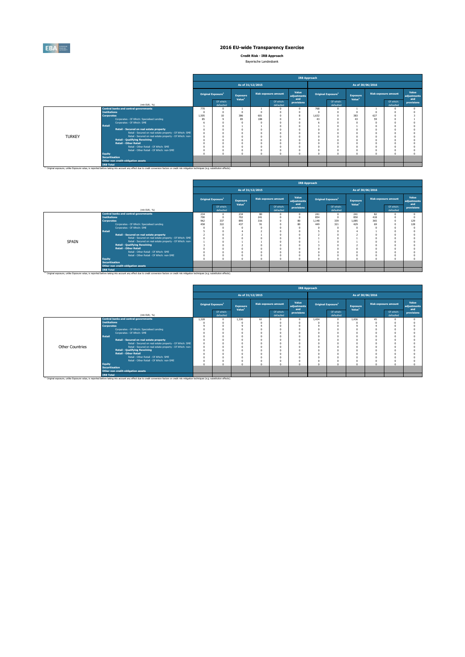

**Credit Risk - IRB Approach** Bayerische Landesbank

| Baverische Landesbank |
|-----------------------|
|                       |

|               |                                                                                                                                                                                                    | <b>IRB Approach</b> |                                |                                       |     |                             |                             |          |                                |                                       |                             |                        |                             |  |  |
|---------------|----------------------------------------------------------------------------------------------------------------------------------------------------------------------------------------------------|---------------------|--------------------------------|---------------------------------------|-----|-----------------------------|-----------------------------|----------|--------------------------------|---------------------------------------|-----------------------------|------------------------|-----------------------------|--|--|
|               |                                                                                                                                                                                                    |                     |                                | As of 31/12/2015                      |     |                             |                             |          |                                |                                       |                             |                        |                             |  |  |
|               |                                                                                                                                                                                                    |                     | Original Exposure <sup>1</sup> | <b>Exposure</b><br>Value <sup>1</sup> |     | <b>Risk exposure amount</b> | Value<br>adjustments<br>and |          | Original Exposure <sup>1</sup> | <b>Exposure</b><br>Value <sup>1</sup> | <b>Risk exposure amount</b> |                        | Value<br>adiustments<br>and |  |  |
|               | (min EUR, %)                                                                                                                                                                                       |                     | Of which:<br>defaulted         |                                       |     | Of which:<br>defaulted      | provisions                  |          | Of which:<br>defaulted         |                                       |                             | Of which:<br>defaulted | provisions                  |  |  |
|               | <b>Central banks and central governments</b>                                                                                                                                                       | 770                 |                                |                                       |     |                             |                             | 768      |                                |                                       |                             |                        |                             |  |  |
|               | <b>Institutions</b>                                                                                                                                                                                |                     |                                |                                       |     |                             |                             |          |                                |                                       |                             |                        |                             |  |  |
|               | <b>Corporates</b>                                                                                                                                                                                  | 1.505               | 10                             | 386                                   | 601 |                             | 8                           | 1.632    |                                | 383                                   | 627                         |                        |                             |  |  |
|               | Corporates - Of Which: Specialised Lending                                                                                                                                                         | 85                  |                                | 85                                    | 108 |                             |                             | 43       |                                | 43                                    | 59                          |                        |                             |  |  |
|               | Corporates - Of Which: SME                                                                                                                                                                         |                     |                                |                                       |     |                             |                             |          |                                |                                       |                             |                        |                             |  |  |
|               | <b>Retail</b>                                                                                                                                                                                      |                     |                                |                                       |     |                             |                             |          |                                |                                       |                             |                        |                             |  |  |
|               | Retail - Secured on real estate property                                                                                                                                                           |                     |                                |                                       |     |                             |                             |          |                                |                                       |                             |                        |                             |  |  |
|               | Retail - Secured on real estate property - Of Which: SME                                                                                                                                           |                     |                                |                                       |     |                             |                             | $\Omega$ |                                |                                       |                             |                        |                             |  |  |
| <b>TURKEY</b> | Retail - Secured on real estate property - Of Which: non-                                                                                                                                          |                     |                                |                                       |     |                             |                             | n        |                                |                                       |                             |                        |                             |  |  |
|               | <b>Retail - Qualifying Revolving</b>                                                                                                                                                               |                     |                                |                                       |     |                             |                             |          |                                |                                       |                             |                        |                             |  |  |
|               | <b>Retail - Other Retail</b>                                                                                                                                                                       |                     |                                |                                       |     |                             |                             |          |                                |                                       |                             |                        |                             |  |  |
|               | Retail - Other Retail - Of Which: SME                                                                                                                                                              |                     |                                |                                       |     |                             |                             |          |                                |                                       |                             |                        |                             |  |  |
|               | Retail - Other Retail - Of Which: non-SME                                                                                                                                                          |                     |                                |                                       |     |                             |                             | $\Omega$ |                                |                                       |                             |                        |                             |  |  |
|               | <b>Equity</b>                                                                                                                                                                                      |                     |                                |                                       |     |                             |                             | $\Omega$ |                                |                                       |                             |                        |                             |  |  |
|               | <b>Securitisation</b><br>Other non credit-obligation assets                                                                                                                                        |                     |                                |                                       |     |                             |                             |          |                                |                                       |                             |                        |                             |  |  |
|               | <b>IRB Total</b>                                                                                                                                                                                   |                     |                                |                                       |     |                             |                             |          |                                |                                       |                             |                        |                             |  |  |
|               | [1) Original exposure, unlike Exposure value, is reported before taking into account any effect due to credit conversion factors or credit risk mitigation techniques (e.g. substitution effects). |                     |                                |                                       |     |                             |                             |          |                                |                                       |                             |                        |                             |  |  |

|       |                       |                                                                                                                                                                                                               | <b>IRB Approach</b> |                                       |                                |     |                             |                             |                  |                                |                                       |                             |                        |                             |  |  |
|-------|-----------------------|---------------------------------------------------------------------------------------------------------------------------------------------------------------------------------------------------------------|---------------------|---------------------------------------|--------------------------------|-----|-----------------------------|-----------------------------|------------------|--------------------------------|---------------------------------------|-----------------------------|------------------------|-----------------------------|--|--|
|       |                       |                                                                                                                                                                                                               |                     |                                       | As of 31/12/2015               |     |                             |                             | As of 30/06/2016 |                                |                                       |                             |                        |                             |  |  |
|       |                       |                                                                                                                                                                                                               |                     | <b>Original Exposure</b> <sup>1</sup> | Exposure<br>Value <sup>1</sup> |     | <b>Risk exposure amount</b> | Value<br>adjustments<br>and |                  | Original Exposure <sup>1</sup> | <b>Exposure</b><br>Value <sup>1</sup> | <b>Risk exposure amount</b> |                        | Value<br>adjustments<br>and |  |  |
|       |                       | (min EUR. %)                                                                                                                                                                                                  |                     | Of which:<br>defaulted                |                                |     | Of which:<br>defaulted      | provisions                  |                  | Of which:<br>defaulted         |                                       |                             | Of which:<br>defaulted | provisions                  |  |  |
|       |                       | <b>Central banks and central governments</b>                                                                                                                                                                  | 234                 |                                       | 234                            | 80  | $\Omega$                    | $\Omega$                    | 241              | $\Omega$                       | 241                                   | 82                          |                        |                             |  |  |
|       | <b>Institutions</b>   |                                                                                                                                                                                                               | 700                 |                                       | 702                            | 241 | $\Omega$                    | $\theta$                    | 854              |                                | 850                                   | 418                         |                        |                             |  |  |
|       | <b>Corporates</b>     |                                                                                                                                                                                                               | 962                 | 337                                   | 895                            | 316 |                             | 80                          | 1.148            | 339                            | 1.085                                 | 365                         |                        | 129                         |  |  |
|       |                       | Corporates - Of Which: Specialised Lending                                                                                                                                                                    | 458                 | 322                                   | 437                            | Q1  | n                           | 80                          | 449              | 321                            | 429                                   | 69                          |                        | 128                         |  |  |
|       |                       | Corporates - Of Which: SME                                                                                                                                                                                    |                     |                                       |                                |     |                             | $\Omega$                    |                  |                                |                                       |                             |                        |                             |  |  |
|       | <b>Retail</b>         |                                                                                                                                                                                                               |                     |                                       |                                |     |                             | $\Omega$                    |                  |                                |                                       |                             |                        |                             |  |  |
|       |                       | Retail - Secured on real estate property                                                                                                                                                                      |                     |                                       |                                |     |                             | $\theta$                    |                  |                                |                                       |                             |                        |                             |  |  |
|       |                       | Retail - Secured on real estate property - Of Which: SME                                                                                                                                                      | n                   |                                       |                                |     |                             | $\theta$                    |                  |                                |                                       |                             |                        |                             |  |  |
| SPAIN |                       | Retail - Secured on real estate property - Of Which: non-                                                                                                                                                     |                     |                                       |                                |     |                             |                             |                  |                                |                                       |                             |                        |                             |  |  |
|       |                       | <b>Retail - Qualifying Revolving</b>                                                                                                                                                                          |                     |                                       |                                |     |                             |                             |                  |                                |                                       |                             |                        |                             |  |  |
|       |                       | <b>Retail - Other Retail</b>                                                                                                                                                                                  |                     |                                       |                                |     |                             |                             |                  |                                |                                       |                             |                        |                             |  |  |
|       |                       | Retail - Other Retail - Of Which: SME                                                                                                                                                                         |                     |                                       |                                |     |                             |                             |                  |                                |                                       |                             |                        |                             |  |  |
|       |                       | Retail - Other Retail - Of Which: non-SME                                                                                                                                                                     |                     |                                       |                                |     |                             | c                           | $\Omega$         |                                |                                       |                             |                        |                             |  |  |
|       | <b>Equity</b>         |                                                                                                                                                                                                               |                     |                                       |                                |     |                             |                             | $\Omega$         |                                |                                       |                             |                        |                             |  |  |
|       | <b>Securitisation</b> |                                                                                                                                                                                                               |                     |                                       |                                |     |                             |                             |                  |                                |                                       |                             |                        |                             |  |  |
|       |                       | Other non credit-obligation assets                                                                                                                                                                            |                     |                                       |                                |     |                             |                             |                  |                                |                                       |                             |                        |                             |  |  |
|       | <b>IRB Total</b>      |                                                                                                                                                                                                               |                     |                                       |                                |     |                             |                             |                  |                                |                                       |                             |                        |                             |  |  |
|       |                       | <sup>(1)</sup> Original exposure, unlike Exposure value, is reported before taking into account any effect due to credit conversion factors or credit risk mitigation techniques (e.g. substitution effects). |                     |                                       |                                |     |                             |                             |                  |                                |                                       |                             |                        |                             |  |  |

|                 |                       |                                                                                                                                                                                                               |       |                                |                                       |    |                             |                             | <b>IRB Approach</b> |                                |                                       |    |                             |                             |  |  |  |
|-----------------|-----------------------|---------------------------------------------------------------------------------------------------------------------------------------------------------------------------------------------------------------|-------|--------------------------------|---------------------------------------|----|-----------------------------|-----------------------------|---------------------|--------------------------------|---------------------------------------|----|-----------------------------|-----------------------------|--|--|--|
|                 |                       |                                                                                                                                                                                                               |       |                                | As of 31/12/2015                      |    |                             |                             | As of 30/06/2016    |                                |                                       |    |                             |                             |  |  |  |
|                 |                       |                                                                                                                                                                                                               |       | Original Exposure <sup>1</sup> | <b>Exposure</b><br>Value <sup>1</sup> |    | <b>Risk exposure amount</b> | Value<br>adjustments<br>and |                     | Original Exposure <sup>1</sup> | <b>Exposure</b><br>Value <sup>1</sup> |    | <b>Risk exposure amount</b> | Value<br>adjustments<br>and |  |  |  |
|                 |                       | (min EUR, %)                                                                                                                                                                                                  |       | Of which:<br>defaulted         |                                       |    | Of which:<br>defaulted      | provisions                  |                     | Of which:<br>defaulted         |                                       |    | Of which:<br>defaulted      | provisions                  |  |  |  |
|                 |                       | <b>Central banks and central governments</b>                                                                                                                                                                  | 1.328 |                                | 1.330                                 | 61 |                             | n                           | 1.434               | U.                             | 1.436                                 | 45 |                             |                             |  |  |  |
|                 | <b>Institutions</b>   |                                                                                                                                                                                                               |       |                                |                                       |    |                             |                             |                     |                                |                                       |    |                             |                             |  |  |  |
|                 | <b>Corporates</b>     |                                                                                                                                                                                                               |       |                                |                                       |    |                             |                             |                     |                                |                                       |    |                             |                             |  |  |  |
|                 |                       | Corporates - Of Which: Specialised Lending                                                                                                                                                                    |       |                                |                                       |    |                             |                             |                     |                                |                                       |    |                             |                             |  |  |  |
|                 |                       | Corporates - Of Which: SME                                                                                                                                                                                    |       |                                |                                       |    |                             |                             |                     |                                |                                       |    |                             |                             |  |  |  |
|                 | Retail                |                                                                                                                                                                                                               |       |                                |                                       |    |                             |                             |                     |                                |                                       |    |                             |                             |  |  |  |
|                 |                       | Retail - Secured on real estate property                                                                                                                                                                      |       |                                |                                       |    |                             |                             |                     |                                |                                       |    |                             |                             |  |  |  |
|                 |                       | Retail - Secured on real estate property - Of Which: SME                                                                                                                                                      |       |                                |                                       |    |                             |                             |                     |                                |                                       |    |                             |                             |  |  |  |
| Other Countries |                       | Retail - Secured on real estate property - Of Which: non-                                                                                                                                                     |       |                                |                                       |    |                             |                             |                     |                                |                                       |    |                             |                             |  |  |  |
|                 |                       | <b>Retail - Qualifving Revolving</b>                                                                                                                                                                          |       |                                |                                       |    |                             |                             |                     |                                |                                       |    |                             |                             |  |  |  |
|                 |                       | <b>Retail - Other Retail</b>                                                                                                                                                                                  |       |                                |                                       |    |                             |                             |                     |                                |                                       |    |                             |                             |  |  |  |
|                 |                       | Retail - Other Retail - Of Which: SME                                                                                                                                                                         |       |                                |                                       |    |                             | $\Omega$                    |                     |                                |                                       |    |                             |                             |  |  |  |
|                 |                       | Retail - Other Retail - Of Which: non-SME                                                                                                                                                                     |       |                                |                                       |    |                             |                             | O                   |                                |                                       |    |                             |                             |  |  |  |
|                 | <b>Equity</b>         |                                                                                                                                                                                                               |       |                                |                                       |    |                             | $\alpha$                    | n                   |                                |                                       |    |                             |                             |  |  |  |
|                 | <b>Securitisation</b> |                                                                                                                                                                                                               |       |                                |                                       |    |                             |                             |                     |                                |                                       |    |                             |                             |  |  |  |
|                 |                       | Other non credit-obligation assets                                                                                                                                                                            |       |                                |                                       |    |                             |                             |                     |                                |                                       |    |                             |                             |  |  |  |
|                 | <b>IRB Total</b>      |                                                                                                                                                                                                               |       |                                |                                       |    |                             |                             |                     |                                |                                       |    |                             |                             |  |  |  |
|                 |                       | <sup>(1)</sup> Original exposure, unlike Exposure value, is reported before taking into account any effect due to credit conversion factors or credit risk mitigation techniques (e.g. substitution effects). |       |                                |                                       |    |                             |                             |                     |                                |                                       |    |                             |                             |  |  |  |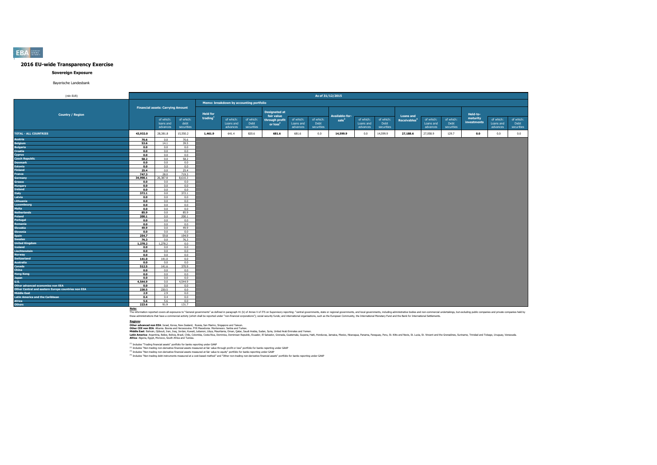#### **Sovereign Exposure**

#### Bayerische Landesbank

| (mln EUR)                                                                              |              | As of 31/12/2015                         |                                 |                 |                                         |                                 |                                            |                                    |                                 |                                     |                                    |                                 |                                              |                                    |                                 |                         |                                    |                                 |
|----------------------------------------------------------------------------------------|--------------|------------------------------------------|---------------------------------|-----------------|-----------------------------------------|---------------------------------|--------------------------------------------|------------------------------------|---------------------------------|-------------------------------------|------------------------------------|---------------------------------|----------------------------------------------|------------------------------------|---------------------------------|-------------------------|------------------------------------|---------------------------------|
|                                                                                        |              |                                          |                                 |                 | Memo: breakdown by accounting portfolio |                                 |                                            |                                    |                                 |                                     |                                    |                                 |                                              |                                    |                                 |                         |                                    |                                 |
| <b>Country / Region</b>                                                                |              | <b>Financial assets: Carrying Amount</b> |                                 | <b>Held for</b> |                                         |                                 | <b>Designated at</b>                       |                                    |                                 |                                     |                                    |                                 |                                              |                                    |                                 | Held-to-                |                                    |                                 |
|                                                                                        |              | of which:<br>loans and<br>advances       | of which:<br>debt<br>securities | trading         | of which:<br>Loans and<br>advances      | of which:<br>Debt<br>securities | fair value<br>through profit<br>or $loss2$ | of which:<br>Loans and<br>advances | of which:<br>Debt<br>securities | Available-for-<br>sale <sup>3</sup> | of which:<br>Loans and<br>advances | of which:<br>Debt<br>securities | <b>Loans and</b><br>Receivables <sup>4</sup> | of which:<br>Loans and<br>advances | of which:<br>Debt<br>securities | maturity<br>investments | of which:<br>Loans and<br>advances | of which:<br>Debt<br>securities |
| <b>TOTAL - ALL COUNTRIES</b>                                                           | 43,932.0     | 28,381.8                                 | 15,550.2                        | 1,461.9         | 641.4                                   | 820.6                           | 681.6                                      | 681.6                              | 0.0                             | 14,599.9                            | 0.0                                | 14,599.9                        | 27,188.6                                     | 27,058.9                           | 129.7                           | 0.0                     | 0.0                                | 0.0                             |
| <b>Austria</b>                                                                         | 70.6         | 0.0                                      | 70.6                            |                 |                                         |                                 |                                            |                                    |                                 |                                     |                                    |                                 |                                              |                                    |                                 |                         |                                    |                                 |
| <b>Belgium</b>                                                                         | 53.6         | 14.1                                     | 39.5                            |                 |                                         |                                 |                                            |                                    |                                 |                                     |                                    |                                 |                                              |                                    |                                 |                         |                                    |                                 |
| <b>Bulgaria</b>                                                                        | 0.0          | 0.0                                      | 0.0                             |                 |                                         |                                 |                                            |                                    |                                 |                                     |                                    |                                 |                                              |                                    |                                 |                         |                                    |                                 |
| Croatia                                                                                | 0.0          | 0.0                                      | 0.0                             |                 |                                         |                                 |                                            |                                    |                                 |                                     |                                    |                                 |                                              |                                    |                                 |                         |                                    |                                 |
| Cyprus<br><b>Czech Republic</b>                                                        | 0.0          | 0.0                                      | 0.0                             |                 |                                         |                                 |                                            |                                    |                                 |                                     |                                    |                                 |                                              |                                    |                                 |                         |                                    |                                 |
| <b>Denmark</b>                                                                         | 58.2         | 0.0                                      | 58.2                            |                 |                                         |                                 |                                            |                                    |                                 |                                     |                                    |                                 |                                              |                                    |                                 |                         |                                    |                                 |
| <b>Estonia</b>                                                                         | 0.0<br>0.0   | 0.0<br>0.0                               | 0.0<br>0.0                      |                 |                                         |                                 |                                            |                                    |                                 |                                     |                                    |                                 |                                              |                                    |                                 |                         |                                    |                                 |
| <b>Finland</b>                                                                         | 25.4         | 0.0                                      | 25.4                            |                 |                                         |                                 |                                            |                                    |                                 |                                     |                                    |                                 |                                              |                                    |                                 |                         |                                    |                                 |
| France                                                                                 | 747.3        | 28.0                                     | 719.3                           |                 |                                         |                                 |                                            |                                    |                                 |                                     |                                    |                                 |                                              |                                    |                                 |                         |                                    |                                 |
| Germany                                                                                | 34,998.1     | 26,387.8                                 | 8,610.3                         |                 |                                         |                                 |                                            |                                    |                                 |                                     |                                    |                                 |                                              |                                    |                                 |                         |                                    |                                 |
| Greece                                                                                 | 0.0          | 0.0                                      | 0.0                             |                 |                                         |                                 |                                            |                                    |                                 |                                     |                                    |                                 |                                              |                                    |                                 |                         |                                    |                                 |
| <b>Hungary</b>                                                                         | 0.0          | 0.0                                      | 0.0                             |                 |                                         |                                 |                                            |                                    |                                 |                                     |                                    |                                 |                                              |                                    |                                 |                         |                                    |                                 |
| <b>Ireland</b>                                                                         | 0.0          | 0.0                                      | 0.0                             |                 |                                         |                                 |                                            |                                    |                                 |                                     |                                    |                                 |                                              |                                    |                                 |                         |                                    |                                 |
| Italy                                                                                  | 372.1        | 0.0                                      | 372.1                           |                 |                                         |                                 |                                            |                                    |                                 |                                     |                                    |                                 |                                              |                                    |                                 |                         |                                    |                                 |
| Latvia                                                                                 | 0.0          | 0.0                                      | 0.0                             |                 |                                         |                                 |                                            |                                    |                                 |                                     |                                    |                                 |                                              |                                    |                                 |                         |                                    |                                 |
| Lithuania                                                                              | 0.0          | 0.0                                      | 0.0                             |                 |                                         |                                 |                                            |                                    |                                 |                                     |                                    |                                 |                                              |                                    |                                 |                         |                                    |                                 |
| Luxembourg                                                                             | 0.0          | 0.0                                      | 0.0                             |                 |                                         |                                 |                                            |                                    |                                 |                                     |                                    |                                 |                                              |                                    |                                 |                         |                                    |                                 |
| <b>Malta</b>                                                                           | 0.0          | 0.0                                      | 0.0                             |                 |                                         |                                 |                                            |                                    |                                 |                                     |                                    |                                 |                                              |                                    |                                 |                         |                                    |                                 |
| <b>Netherlands</b>                                                                     | 85.9         | 0.0                                      | 85.9                            |                 |                                         |                                 |                                            |                                    |                                 |                                     |                                    |                                 |                                              |                                    |                                 |                         |                                    |                                 |
| Poland                                                                                 | 200.1        | 0.0                                      | 200.1                           |                 |                                         |                                 |                                            |                                    |                                 |                                     |                                    |                                 |                                              |                                    |                                 |                         |                                    |                                 |
| Portugal                                                                               | 0.0          | 0.0                                      | 0.0                             |                 |                                         |                                 |                                            |                                    |                                 |                                     |                                    |                                 |                                              |                                    |                                 |                         |                                    |                                 |
| Romania                                                                                | 0.0          | 0.0                                      | 0.0                             |                 |                                         |                                 |                                            |                                    |                                 |                                     |                                    |                                 |                                              |                                    |                                 |                         |                                    |                                 |
| Slovakia<br><b>Slovenia</b>                                                            | 49.9         | 0.0<br>0.0                               | 49.9<br>0.0                     |                 |                                         |                                 |                                            |                                    |                                 |                                     |                                    |                                 |                                              |                                    |                                 |                         |                                    |                                 |
| <b>Spain</b>                                                                           | 0.0<br>254.7 | 59.8                                     | 194.9                           |                 |                                         |                                 |                                            |                                    |                                 |                                     |                                    |                                 |                                              |                                    |                                 |                         |                                    |                                 |
| Sweden                                                                                 | 76.3         | 0.0                                      | 76.3                            |                 |                                         |                                 |                                            |                                    |                                 |                                     |                                    |                                 |                                              |                                    |                                 |                         |                                    |                                 |
| <b>United Kingdom</b>                                                                  | 1,278.2      | 1,278.2                                  | 0.0                             |                 |                                         |                                 |                                            |                                    |                                 |                                     |                                    |                                 |                                              |                                    |                                 |                         |                                    |                                 |
| <b>Iceland</b>                                                                         | 0.0          | 0.0                                      | 0.0                             |                 |                                         |                                 |                                            |                                    |                                 |                                     |                                    |                                 |                                              |                                    |                                 |                         |                                    |                                 |
| Liechtenstein                                                                          | 0.0          | 0.0                                      | 0.0                             |                 |                                         |                                 |                                            |                                    |                                 |                                     |                                    |                                 |                                              |                                    |                                 |                         |                                    |                                 |
| <b>Norway</b>                                                                          | 0.0          | 0.0                                      | 0.0                             |                 |                                         |                                 |                                            |                                    |                                 |                                     |                                    |                                 |                                              |                                    |                                 |                         |                                    |                                 |
| <b>Switzerland</b>                                                                     | 141.0        | 141.0                                    | 0.0                             |                 |                                         |                                 |                                            |                                    |                                 |                                     |                                    |                                 |                                              |                                    |                                 |                         |                                    |                                 |
| <b>Australia</b>                                                                       | 0.0          | 0.0                                      | 0.0                             |                 |                                         |                                 |                                            |                                    |                                 |                                     |                                    |                                 |                                              |                                    |                                 |                         |                                    |                                 |
| Canada                                                                                 | 512.5        | 141.6                                    | 370.9                           |                 |                                         |                                 |                                            |                                    |                                 |                                     |                                    |                                 |                                              |                                    |                                 |                         |                                    |                                 |
| China                                                                                  | 0.0          | 0.0                                      | 0.0                             |                 |                                         |                                 |                                            |                                    |                                 |                                     |                                    |                                 |                                              |                                    |                                 |                         |                                    |                                 |
| <b>Hong Kong</b>                                                                       | 0.0          | 0.0                                      | 0.0                             |                 |                                         |                                 |                                            |                                    |                                 |                                     |                                    |                                 |                                              |                                    |                                 |                         |                                    |                                 |
| <b>Japan</b>                                                                           | 0.0          | 0.0                                      | 0.0                             |                 |                                         |                                 |                                            |                                    |                                 |                                     |                                    |                                 |                                              |                                    |                                 |                         |                                    |                                 |
| <b>U.S.</b>                                                                            | 4,544.9      | 0.0                                      | 4,544.9                         |                 |                                         |                                 |                                            |                                    |                                 |                                     |                                    |                                 |                                              |                                    |                                 |                         |                                    |                                 |
| Other advanced economies non EEA<br>Other Central and eastern Europe countries non EEA | 0.0          | 0.0                                      | 0.0                             |                 |                                         |                                 |                                            |                                    |                                 |                                     |                                    |                                 |                                              |                                    |                                 |                         |                                    |                                 |
| <b>Middle East</b>                                                                     | 230.5<br>2.9 | 230.5<br>2.9                             | 0.0<br>0.0                      |                 |                                         |                                 |                                            |                                    |                                 |                                     |                                    |                                 |                                              |                                    |                                 |                         |                                    |                                 |
| <b>Latin America and the Caribbean</b>                                                 | 0.4          | 0.4                                      | 0.0                             |                 |                                         |                                 |                                            |                                    |                                 |                                     |                                    |                                 |                                              |                                    |                                 |                         |                                    |                                 |
| <b>Africa</b>                                                                          | 5.6          | 5.6                                      | 0.0                             |                 |                                         |                                 |                                            |                                    |                                 |                                     |                                    |                                 |                                              |                                    |                                 |                         |                                    |                                 |
| <b>Others</b>                                                                          | 223.6        | 91.9                                     | 131.7                           |                 |                                         |                                 |                                            |                                    |                                 |                                     |                                    |                                 |                                              |                                    |                                 |                         |                                    |                                 |
|                                                                                        |              |                                          |                                 |                 |                                         |                                 |                                            |                                    |                                 |                                     |                                    |                                 |                                              |                                    |                                 |                         |                                    |                                 |

Note:<br>The information reported covers all exposures to "General governments" as defined in paraggin 41 (b) of Annex V of ITS on Supervisory reporting: "central governments, state or regional governments, and both governmen

**Redions:**<br>Other afvanced non EEA: Israel, Korea, New Zealand, Russia, San Marino, Singore and Taiwan.<br>Middle East: Bahain, Dilouti, Iran, Iran, Jordan, Kuran, Libya, Mewhamenn: Semina, Oman, Suna, Suna, Suna, United Arab

(1) Includes "Trading financial assets" portfolio for banks reporting under GAAP

<sup>(2)</sup> Includes "Non-trading non-derivative financial assets measured at fair value through profit or loss" portfolio for banks reporting under GAAP<br><sup>03</sup> Includes "Non-trading non-derivative financial and and the major bank

#### **EBA**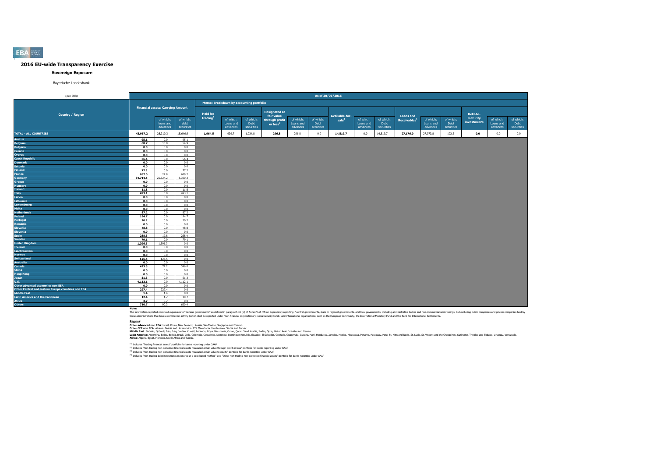#### **Sovereign Exposure**

Bayerische Landesbank

| (mln EUR)                                          |          |                                          | As of 30/06/2016  |                                         |                        |                   |                              |                        |                   |                   |                        |                   |                          |                        |                   |                      |                        |                   |
|----------------------------------------------------|----------|------------------------------------------|-------------------|-----------------------------------------|------------------------|-------------------|------------------------------|------------------------|-------------------|-------------------|------------------------|-------------------|--------------------------|------------------------|-------------------|----------------------|------------------------|-------------------|
|                                                    |          |                                          |                   | Memo: breakdown by accounting portfolio |                        |                   |                              |                        |                   |                   |                        |                   |                          |                        |                   |                      |                        |                   |
|                                                    |          | <b>Financial assets: Carrying Amount</b> |                   |                                         |                        |                   | <b>Designated at</b>         |                        |                   |                   |                        |                   |                          |                        |                   |                      |                        |                   |
| <b>Country / Region</b>                            |          |                                          |                   | <b>Held for</b><br>trading              |                        |                   | fair value                   |                        |                   | Available-for-    |                        |                   | <b>Loans and</b>         |                        |                   | Held-to-<br>maturity |                        |                   |
|                                                    |          | of which:<br>loans and                   | of which:<br>debt |                                         | of which:<br>Loans and | of which:<br>Debt | through profit<br>or $loss2$ | of which:<br>Loans and | of which:<br>Debt | sale <sup>3</sup> | of which:<br>Loans and | of which:<br>Debt | Receivables <sup>4</sup> | of which:<br>Loans and | of which:<br>Debt | investments          | of which:<br>Loans and | of which:<br>Debt |
|                                                    |          | advances                                 | securities        |                                         | advances               | securities        |                              | advances               | securities        |                   | advances               | securities        |                          | advances               | securities        |                      | advances               | securities        |
| <b>TOTAL - ALL COUNTRIES</b>                       | 43,957.2 | 28,310.3                                 | 15,646.9          | 1.964.5                                 | 939.7                  | 1,024.8           | 296.8                        | 296.8                  | 0.0               | 14,519.7          | 0.0                    | 14,519.7          | 27,176.0                 | 27,073.8               | 102.2             | 0.0                  | 0.0                    | 0.0               |
| Austria                                            | 95.1     | 0.0                                      | 95.1              |                                         |                        |                   |                              |                        |                   |                   |                        |                   |                          |                        |                   |                      |                        |                   |
| <b>Belgium</b>                                     | 68.7     | 13.8                                     | 54.9              |                                         |                        |                   |                              |                        |                   |                   |                        |                   |                          |                        |                   |                      |                        |                   |
| <b>Bulgaria</b>                                    | 0.0      | 0.0                                      | 0.0               |                                         |                        |                   |                              |                        |                   |                   |                        |                   |                          |                        |                   |                      |                        |                   |
| Croatia                                            | 0.0      | 0.0                                      | 0.0               |                                         |                        |                   |                              |                        |                   |                   |                        |                   |                          |                        |                   |                      |                        |                   |
| Cyprus                                             | 0.0      | 0.0                                      | 0.0               |                                         |                        |                   |                              |                        |                   |                   |                        |                   |                          |                        |                   |                      |                        |                   |
| <b>Czech Republic</b>                              | 56.4     | 0.0                                      | 56.4              |                                         |                        |                   |                              |                        |                   |                   |                        |                   |                          |                        |                   |                      |                        |                   |
| <b>Denmark</b>                                     | 0.0      | 0.0                                      | 0.0               |                                         |                        |                   |                              |                        |                   |                   |                        |                   |                          |                        |                   |                      |                        |                   |
| <b>Estonia</b>                                     | 0.0      | 0.0                                      | 0.0               |                                         |                        |                   |                              |                        |                   |                   |                        |                   |                          |                        |                   |                      |                        |                   |
| <b>Finland</b>                                     | 77.2     | 0.0                                      | 77.2              |                                         |                        |                   |                              |                        |                   |                   |                        |                   |                          |                        |                   |                      |                        |                   |
| France                                             | 657.0    | 27.8                                     | 629.2             |                                         |                        |                   |                              |                        |                   |                   |                        |                   |                          |                        |                   |                      |                        |                   |
| Germany                                            | 34,714.5 | 26,324.2                                 | 8,390.2           |                                         |                        |                   |                              |                        |                   |                   |                        |                   |                          |                        |                   |                      |                        |                   |
| Greece                                             | 0.0      | 0.0                                      | 0.0               |                                         |                        |                   |                              |                        |                   |                   |                        |                   |                          |                        |                   |                      |                        |                   |
| Hungary                                            | 0.0      | 0.0                                      | 0.0               |                                         |                        |                   |                              |                        |                   |                   |                        |                   |                          |                        |                   |                      |                        |                   |
| Ireland                                            | 11.8     | 0.0                                      | 11.8              |                                         |                        |                   |                              |                        |                   |                   |                        |                   |                          |                        |                   |                      |                        |                   |
| <b>Italy</b>                                       | 493.1    | 0.0                                      | 493.1             |                                         |                        |                   |                              |                        |                   |                   |                        |                   |                          |                        |                   |                      |                        |                   |
| Latvia                                             | 0.0      | 0.0                                      | 0.0               |                                         |                        |                   |                              |                        |                   |                   |                        |                   |                          |                        |                   |                      |                        |                   |
| Lithuania                                          | 0.0      | 0.0                                      | 0.0               |                                         |                        |                   |                              |                        |                   |                   |                        |                   |                          |                        |                   |                      |                        |                   |
| Luxembourg                                         | 0.0      | 0.0                                      | 0.0               |                                         |                        |                   |                              |                        |                   |                   |                        |                   |                          |                        |                   |                      |                        |                   |
| Malta                                              | 0.0      | 0.0                                      | 0.0               |                                         |                        |                   |                              |                        |                   |                   |                        |                   |                          |                        |                   |                      |                        |                   |
| <b>Netherlands</b>                                 | 87.2     | 0.0                                      | 87.2              |                                         |                        |                   |                              |                        |                   |                   |                        |                   |                          |                        |                   |                      |                        |                   |
| Poland                                             | 194.7    | 0.0                                      | 194.7             |                                         |                        |                   |                              |                        |                   |                   |                        |                   |                          |                        |                   |                      |                        |                   |
| Portugal                                           | 20.2     | 0.0                                      | 20.2              |                                         |                        |                   |                              |                        |                   |                   |                        |                   |                          |                        |                   |                      |                        |                   |
| Romania                                            | 0.0      | 0.0                                      | 0.0               |                                         |                        |                   |                              |                        |                   |                   |                        |                   |                          |                        |                   |                      |                        |                   |
| Slovakia                                           | 48.8     | 0.0                                      | 48.8              |                                         |                        |                   |                              |                        |                   |                   |                        |                   |                          |                        |                   |                      |                        |                   |
| Slovenia                                           | 0.0      | 0.0                                      | 0.0               |                                         |                        |                   |                              |                        |                   |                   |                        |                   |                          |                        |                   |                      |                        |                   |
| <b>Spain</b>                                       | 288.3    | 19.8                                     | 268.4             |                                         |                        |                   |                              |                        |                   |                   |                        |                   |                          |                        |                   |                      |                        |                   |
| Sweden                                             | 79.1     | 0.0                                      | 79.1              |                                         |                        |                   |                              |                        |                   |                   |                        |                   |                          |                        |                   |                      |                        |                   |
| <b>United Kingdom</b>                              | 1,396.3  | 1,396.3                                  | 0.0               |                                         |                        |                   |                              |                        |                   |                   |                        |                   |                          |                        |                   |                      |                        |                   |
| Iceland                                            | 0.0      | 0.0                                      | 0.0               |                                         |                        |                   |                              |                        |                   |                   |                        |                   |                          |                        |                   |                      |                        |                   |
| Liechtenstein                                      | 0.0      | 0.0                                      | 0.0               |                                         |                        |                   |                              |                        |                   |                   |                        |                   |                          |                        |                   |                      |                        |                   |
| Norway                                             | 0.0      | 0.0                                      | 0.0               |                                         |                        |                   |                              |                        |                   |                   |                        |                   |                          |                        |                   |                      |                        |                   |
| <b>Switzerland</b>                                 | 126.5    | 126.5                                    | 0.0               |                                         |                        |                   |                              |                        |                   |                   |                        |                   |                          |                        |                   |                      |                        |                   |
| <b>Australia</b>                                   | 0.0      | 0.0                                      | 0.0               |                                         |                        |                   |                              |                        |                   |                   |                        |                   |                          |                        |                   |                      |                        |                   |
| Canada                                             | 423.3    | 77.2                                     | 346.0             |                                         |                        |                   |                              |                        |                   |                   |                        |                   |                          |                        |                   |                      |                        |                   |
| China                                              | 0.0      | 0.0                                      | 0.0               |                                         |                        |                   |                              |                        |                   |                   |                        |                   |                          |                        |                   |                      |                        |                   |
| <b>Hong Kong</b>                                   | 0.0      | $0.0 -$                                  | 0.0               |                                         |                        |                   |                              |                        |                   |                   |                        |                   |                          |                        |                   |                      |                        |                   |
| Japan                                              | 51.3     | 0.0                                      | 51.3              |                                         |                        |                   |                              |                        |                   |                   |                        |                   |                          |                        |                   |                      |                        |                   |
| U.S.                                               | 4,112.1  | 0.0                                      | 4,112.1           |                                         |                        |                   |                              |                        |                   |                   |                        |                   |                          |                        |                   |                      |                        |                   |
| Other advanced economies non EEA                   | 0.0      | 0.0                                      | 0.0               |                                         |                        |                   |                              |                        |                   |                   |                        |                   |                          |                        |                   |                      |                        |                   |
| Other Central and eastern Europe countries non EEA | 227.4    | 227.4                                    | 0.0               |                                         |                        |                   |                              |                        |                   |                   |                        |                   |                          |                        |                   |                      |                        |                   |
| Middle East                                        | 1.4      | 1.4                                      | 0.0               |                                         |                        |                   |                              |                        |                   |                   |                        |                   |                          |                        |                   |                      |                        |                   |
| Latin America and the Caribbean                    | 12.4     | 1.7                                      | 10.7              |                                         |                        |                   |                              |                        |                   |                   |                        |                   |                          |                        |                   |                      |                        |                   |
| Africa                                             | 3.7      | 3.7                                      | 0.0               |                                         |                        |                   |                              |                        |                   |                   |                        |                   |                          |                        |                   |                      |                        |                   |
| <b>Others</b>                                      | 710.7    | 90.3                                     | 620.4             |                                         |                        |                   |                              |                        |                   |                   |                        |                   |                          |                        |                   |                      |                        |                   |

Note:<br>The information reported covers all exposures to "General governments" as defined in paraggin 41 (b) of Annex V of ITS on Supervisory reporting: "central governments, state or regional governments, and both governmen

**Redions:**<br>Other afvanced non EEA: Israel, Korea, New Zealand, Russia, San Marino, Singore and Taiwan.<br>Middle East: Bahain, Dilouti, Iran, Iran, Jordan, Kuran, Libya, Mewhamenn: Semina, Oman, Suna, Suna, Suna, United Arab

(1) Includes "Trading financial assets" portfolio for banks reporting under GAAP

<sup>(2)</sup> Includes "Non-trading non-derivative financial assets measured at fair value through profit or loss" portfolio for banks reporting under GAAP<br><sup>03</sup> Includes "Non-trading non-derivative financial and and the major bank

**EBA**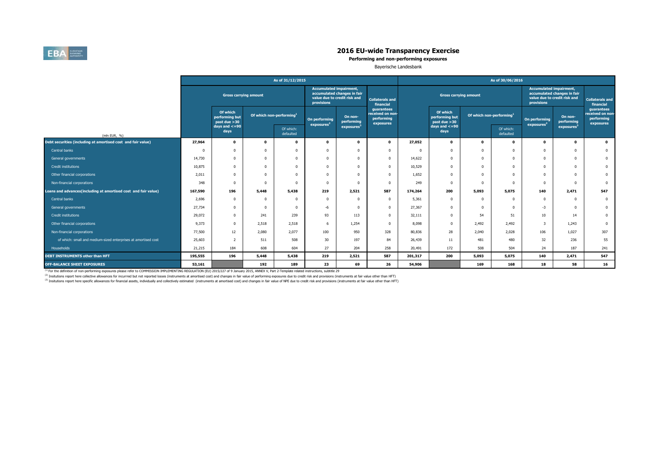

**Performing and non-performing exposures**

Bayerische Landesbank

|                                                                |                                  |                                            |                                      | As of 31/12/2015       |                                              |                                                             | As of 30/06/2016                                          |         |                                            |                                      |                        |                                              |                                                             |                                                           |  |  |
|----------------------------------------------------------------|----------------------------------|--------------------------------------------|--------------------------------------|------------------------|----------------------------------------------|-------------------------------------------------------------|-----------------------------------------------------------|---------|--------------------------------------------|--------------------------------------|------------------------|----------------------------------------------|-------------------------------------------------------------|-----------------------------------------------------------|--|--|
|                                                                |                                  | <b>Gross carrying amount</b>               |                                      |                        | <b>Accumulated impairment,</b><br>provisions | accumulated changes in fair<br>value due to credit risk and | <b>Collaterals and</b><br>financial                       |         | <b>Gross carrying amount</b>               |                                      |                        | <b>Accumulated impairment,</b><br>provisions | accumulated changes in fair<br>value due to credit risk and | <b>Collaterals and</b><br>financial                       |  |  |
|                                                                |                                  | Of which<br>performing but<br>past due >30 | Of which non-performing <sup>1</sup> |                        | On performing<br>exposures <sup>2</sup>      | On non-<br>performing                                       | guarantees<br>received on non-<br>performing<br>exposures |         | Of which<br>performing but<br>past due >30 | Of which non-performing <sup>1</sup> |                        | On performing<br>exposures <sup>2</sup>      | On non-<br>performing                                       | guarantees<br>received on non-<br>performing<br>exposures |  |  |
| (mln EUR, %)                                                   |                                  | days and $\lt$ =90<br>days                 |                                      | Of which:<br>defaulted |                                              | exposures                                                   |                                                           |         | days and $\lt$ =90<br>days                 |                                      | Of which:<br>defaulted |                                              | exposures                                                   |                                                           |  |  |
| Debt securities (including at amortised cost and fair value)   | 27,964                           | $\mathbf 0$                                | o                                    | $\mathbf{0}$           | $\Omega$                                     | $\Omega$                                                    | $\mathbf 0$                                               | 27,052  | $\mathbf 0$                                | 0                                    | 0                      | $\mathbf 0$                                  | $\mathbf 0$                                                 | $\mathbf{0}$                                              |  |  |
| Central banks                                                  |                                  | 0                                          |                                      | $\Omega$               |                                              |                                                             | $\Omega$                                                  |         | $\Omega$                                   |                                      | $\Omega$               | $\Omega$                                     | $\Omega$                                                    | $\bf{0}$                                                  |  |  |
| General governments                                            | 14,730                           | 0                                          |                                      | $\Omega$               | $\Omega$                                     |                                                             | $\Omega$                                                  | 14,622  | $^{\circ}$                                 |                                      | $\Omega$               | $^{\circ}$                                   | $\Omega$                                                    | $\mathbf{0}$                                              |  |  |
| Credit institutions                                            | 10,875                           | 0                                          |                                      | $\Omega$               | $\Omega$                                     |                                                             | $\Omega$                                                  | 10,529  | $\Omega$                                   | n                                    | $\Omega$               | $^{\circ}$                                   | $\Omega$                                                    | $\mathbf{0}$                                              |  |  |
| Other financial corporations                                   | 2,011                            | 0                                          |                                      | $\Omega$               |                                              |                                                             | $\Omega$                                                  | 1,652   | $\Omega$                                   |                                      | $\Omega$               | $\Omega$                                     | $\theta$                                                    | $\mathbf 0$                                               |  |  |
| Non-financial corporations                                     | 348                              | 0                                          |                                      | $\Omega$               |                                              |                                                             | $\Omega$                                                  | 249     | $\Omega$                                   |                                      | $\Omega$               | $\Omega$                                     | $\Omega$                                                    | $\bf{0}$                                                  |  |  |
| Loans and advances(including at amortised cost and fair value) | 167,590                          | 196                                        | 5,448                                | 5,438                  | 219                                          | 2,521                                                       | 587                                                       | 174,264 | 200                                        | 5,093                                | 5,075                  | 140                                          | 2,471                                                       | 547                                                       |  |  |
| Central banks                                                  | 2,696                            | 0                                          |                                      | $\Omega$               | $\Omega$                                     | $\Omega$                                                    | $\Omega$                                                  | 5,361   | $\Omega$                                   |                                      | $\Omega$               | $\Omega$                                     | $\Omega$                                                    | $\mathbf{0}$                                              |  |  |
| General governments                                            | 27,734                           | 0                                          |                                      | $\Omega$               | -6                                           |                                                             | $^{\circ}$                                                | 27,367  | $\Omega$                                   |                                      | $\Omega$               | $-3$                                         | $\Omega$                                                    | $\mathbf{0}$                                              |  |  |
| Credit institutions                                            | 29,072                           | 0                                          | 241                                  | 239                    | 93                                           | 113                                                         | $\mathbf{0}$                                              | 32,111  | 0                                          | 54                                   | 51                     | 10 <sup>10</sup>                             | 14                                                          | $\bf{0}$                                                  |  |  |
| Other financial corporations                                   | 9,373                            | $\Omega$                                   | 2,518                                | 2,518                  | -6                                           | 1,254                                                       | $\Omega$                                                  | 8,098   | $\Omega$                                   | 2,492                                | 2,492                  | 3                                            | 1,243                                                       | $\bf{0}$                                                  |  |  |
| Non-financial corporations                                     | 77,500                           | 12                                         | 2,080                                | 2,077                  | 100                                          | 950                                                         | 328                                                       | 80,836  | 28                                         | 2,040                                | 2,028                  | 106                                          | 1,027                                                       | 307                                                       |  |  |
| of which: small and medium-sized enterprises at amortised cost | 25,603                           |                                            | 511                                  | 508                    | 30                                           | 197                                                         | 84                                                        | 26,439  | 11                                         | 481                                  | 480                    | 32                                           | 236                                                         | 55                                                        |  |  |
| Households                                                     | 21,215                           | 184                                        | 608                                  | 604                    | 27                                           | 204                                                         | 258                                                       | 20,491  | 172                                        | 508                                  | 504                    | 24                                           | 187                                                         | 241                                                       |  |  |
| DEBT INSTRUMENTS other than HFT                                | 195,555<br>196<br>5,448<br>5,438 |                                            | 219                                  | 2,521                  | 587                                          | 201,317                                                     | 200                                                       | 5,093   | 5,075                                      | 140                                  | 2,471                  | 547                                          |                                                             |                                                           |  |  |
| OFF-BALANCE SHEET EXPOSURES                                    | 53,161                           |                                            | 192                                  | 189                    | 23                                           | 69                                                          | 26                                                        | 54,906  |                                            | 169                                  | 168                    | 18                                           | 58                                                          | 16                                                        |  |  |

<sup>(1)</sup> For the definition of non-performing exposures please refer to COMMISSION IMPLEMENTING REGULATION (EU) 2015/227 of 9 January 2015, ANNEX V, Part 2-Template related instructions, subtitle 29

<sup>(2)</sup> Insitutions report here collective allowances for incurrred but not reported losses (instruments at amortised cost) and changes in fair value of performing exposures due to credit risk and provisions (instruments at